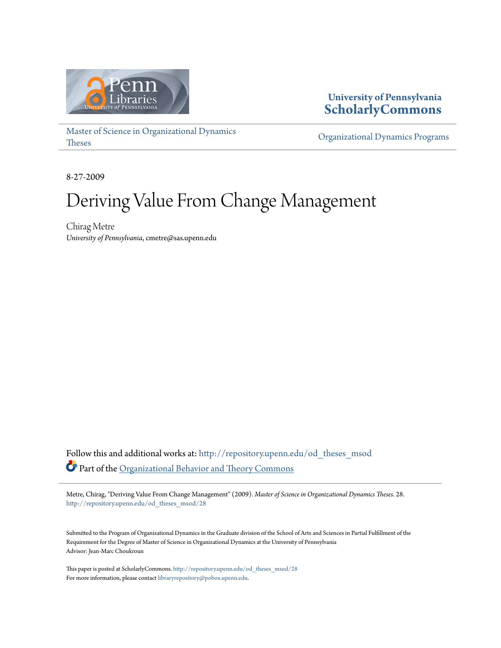

# **University of Pennsylvania [ScholarlyCommons](http://repository.upenn.edu?utm_source=repository.upenn.edu%2Fod_theses_msod%2F28&utm_medium=PDF&utm_campaign=PDFCoverPages)**

[Master of Science in Organizational Dynamics](http://repository.upenn.edu/od_theses_msod?utm_source=repository.upenn.edu%2Fod_theses_msod%2F28&utm_medium=PDF&utm_campaign=PDFCoverPages) [Theses](http://repository.upenn.edu/od_theses_msod?utm_source=repository.upenn.edu%2Fod_theses_msod%2F28&utm_medium=PDF&utm_campaign=PDFCoverPages)

[Organizational Dynamics Programs](http://repository.upenn.edu/organizational_dynamics?utm_source=repository.upenn.edu%2Fod_theses_msod%2F28&utm_medium=PDF&utm_campaign=PDFCoverPages)

8-27-2009

# Deriving Value From Change Management

Chirag Metre *University of Pennsylvania*, cmetre@sas.upenn.edu

Follow this and additional works at: [http://repository.upenn.edu/od\\_theses\\_msod](http://repository.upenn.edu/od_theses_msod?utm_source=repository.upenn.edu%2Fod_theses_msod%2F28&utm_medium=PDF&utm_campaign=PDFCoverPages) Part of the [Organizational Behavior and Theory Commons](http://network.bepress.com/hgg/discipline/639?utm_source=repository.upenn.edu%2Fod_theses_msod%2F28&utm_medium=PDF&utm_campaign=PDFCoverPages)

Metre, Chirag, "Deriving Value From Change Management" (2009). *Master of Science in Organizational Dynamics Theses*. 28. [http://repository.upenn.edu/od\\_theses\\_msod/28](http://repository.upenn.edu/od_theses_msod/28?utm_source=repository.upenn.edu%2Fod_theses_msod%2F28&utm_medium=PDF&utm_campaign=PDFCoverPages)

Submitted to the Program of Organizational Dynamics in the Graduate division of the School of Arts and Sciences in Partial Fulfillment of the Requirement for the Degree of Master of Science in Organizational Dynamics at the University of Pennsylvania Advisor: Jean-Marc Choukroun

This paper is posted at ScholarlyCommons. [http://repository.upenn.edu/od\\_theses\\_msod/28](http://repository.upenn.edu/od_theses_msod/28) For more information, please contact [libraryrepository@pobox.upenn.edu.](mailto:libraryrepository@pobox.upenn.edu)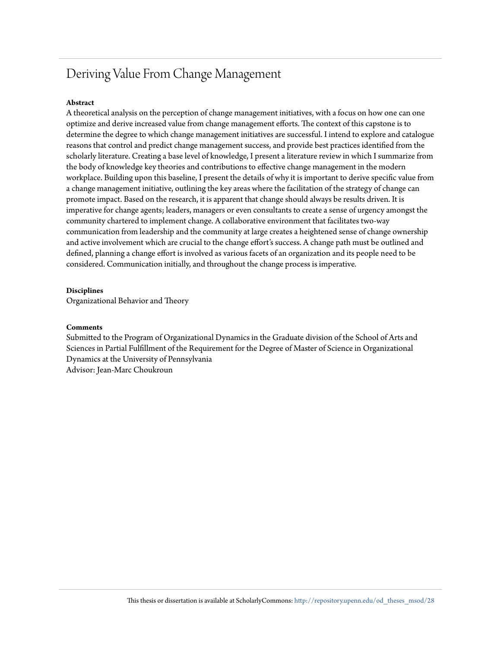# Deriving Value From Change Management

#### **Abstract**

A theoretical analysis on the perception of change management initiatives, with a focus on how one can one optimize and derive increased value from change management efforts. The context of this capstone is to determine the degree to which change management initiatives are successful. I intend to explore and catalogue reasons that control and predict change management success, and provide best practices identified from the scholarly literature. Creating a base level of knowledge, I present a literature review in which I summarize from the body of knowledge key theories and contributions to effective change management in the modern workplace. Building upon this baseline, I present the details of why it is important to derive specific value from a change management initiative, outlining the key areas where the facilitation of the strategy of change can promote impact. Based on the research, it is apparent that change should always be results driven. It is imperative for change agents; leaders, managers or even consultants to create a sense of urgency amongst the community chartered to implement change. A collaborative environment that facilitates two-way communication from leadership and the community at large creates a heightened sense of change ownership and active involvement which are crucial to the change effort's success. A change path must be outlined and defined, planning a change effort is involved as various facets of an organization and its people need to be considered. Communication initially, and throughout the change process is imperative.

#### **Disciplines**

Organizational Behavior and Theory

#### **Comments**

Submitted to the Program of Organizational Dynamics in the Graduate division of the School of Arts and Sciences in Partial Fulfillment of the Requirement for the Degree of Master of Science in Organizational Dynamics at the University of Pennsylvania Advisor: Jean-Marc Choukroun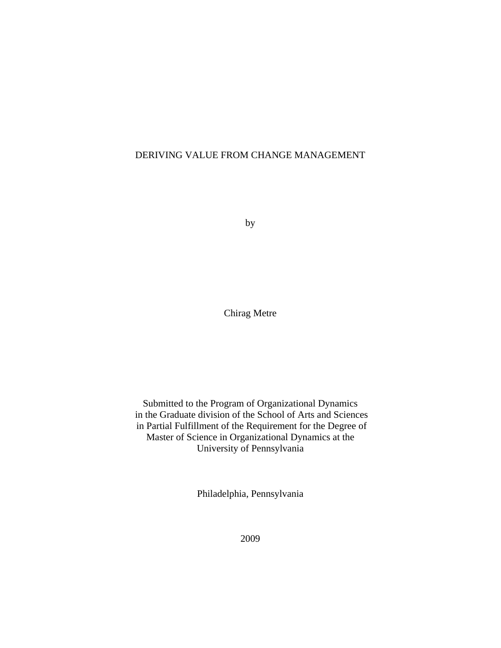# DERIVING VALUE FROM CHANGE MANAGEMENT

by

Chirag Metre

Submitted to the Program of Organizational Dynamics in the Graduate division of the School of Arts and Sciences in Partial Fulfillment of the Requirement for the Degree of Master of Science in Organizational Dynamics at the University of Pennsylvania

Philadelphia, Pennsylvania

2009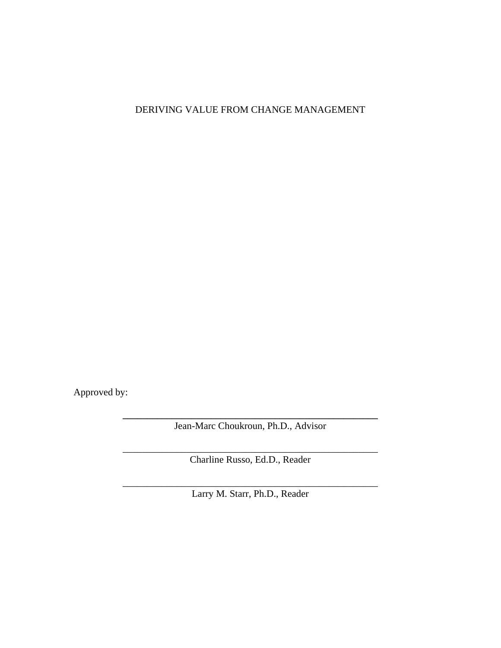DERIVING VALUE FROM CHANGE MANAGEMENT

Approved by:

**\_\_\_\_\_\_\_\_\_\_\_\_\_\_\_\_\_\_\_\_\_\_\_\_\_\_\_\_\_\_\_\_\_\_\_\_\_\_\_\_\_\_\_\_\_\_\_\_\_\_\_\_**  Jean-Marc Choukroun, Ph.D., Advisor

\_\_\_\_\_\_\_\_\_\_\_\_\_\_\_\_\_\_\_\_\_\_\_\_\_\_\_\_\_\_\_\_\_\_\_\_\_\_\_\_\_\_\_\_\_\_\_\_\_\_\_\_ Charline Russo, Ed.D., Reader

\_\_\_\_\_\_\_\_\_\_\_\_\_\_\_\_\_\_\_\_\_\_\_\_\_\_\_\_\_\_\_\_\_\_\_\_\_\_\_\_\_\_\_\_\_\_\_\_\_\_\_\_ Larry M. Starr, Ph.D., Reader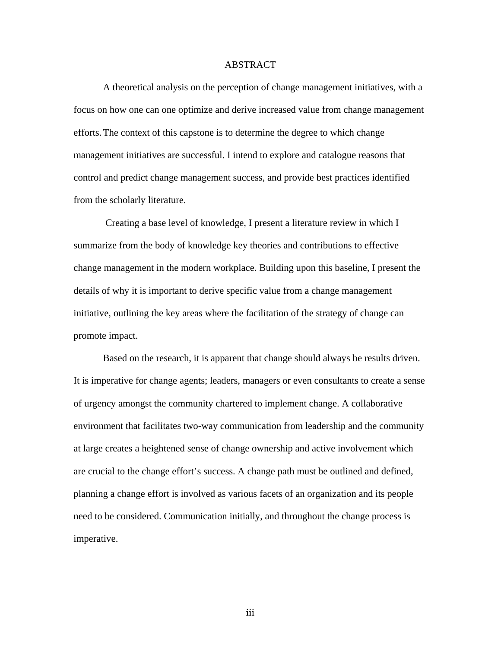# ABSTRACT

 A theoretical analysis on the perception of change management initiatives, with a focus on how one can one optimize and derive increased value from change management efforts. The context of this capstone is to determine the degree to which change management initiatives are successful. I intend to explore and catalogue reasons that control and predict change management success, and provide best practices identified from the scholarly literature.

 Creating a base level of knowledge, I present a literature review in which I summarize from the body of knowledge key theories and contributions to effective change management in the modern workplace. Building upon this baseline, I present the details of why it is important to derive specific value from a change management initiative, outlining the key areas where the facilitation of the strategy of change can promote impact.

 Based on the research, it is apparent that change should always be results driven. It is imperative for change agents; leaders, managers or even consultants to create a sense of urgency amongst the community chartered to implement change. A collaborative environment that facilitates two-way communication from leadership and the community at large creates a heightened sense of change ownership and active involvement which are crucial to the change effort's success. A change path must be outlined and defined, planning a change effort is involved as various facets of an organization and its people need to be considered. Communication initially, and throughout the change process is imperative.

iii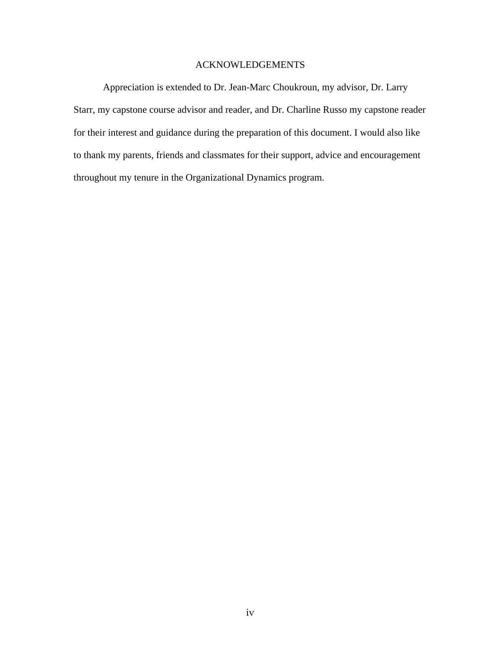# ACKNOWLEDGEMENTS

 Appreciation is extended to Dr. Jean-Marc Choukroun, my advisor, Dr. Larry Starr, my capstone course advisor and reader, and Dr. Charline Russo my capstone reader for their interest and guidance during the preparation of this document. I would also like to thank my parents, friends and classmates for their support, advice and encouragement throughout my tenure in the Organizational Dynamics program.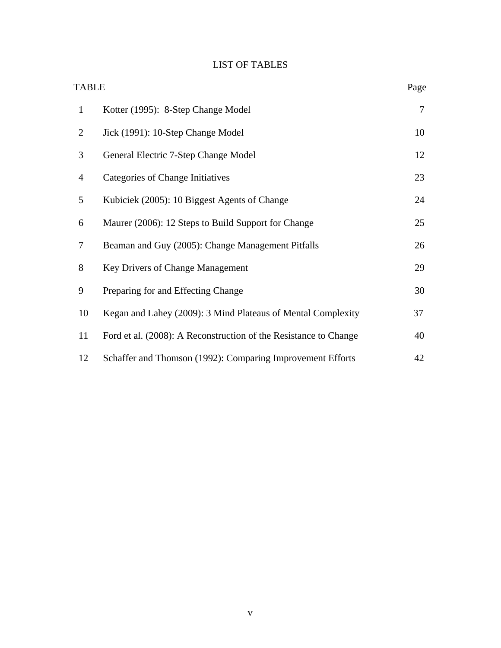# LIST OF TABLES

| <b>TABLE</b>   |                                                                  | Page |
|----------------|------------------------------------------------------------------|------|
| $\mathbf{1}$   | Kotter (1995): 8-Step Change Model                               | 7    |
| $\overline{2}$ | Jick (1991): 10-Step Change Model                                | 10   |
| 3              | General Electric 7-Step Change Model                             | 12   |
| $\overline{4}$ | Categories of Change Initiatives                                 | 23   |
| 5              | Kubiciek (2005): 10 Biggest Agents of Change                     | 24   |
| 6              | Maurer (2006): 12 Steps to Build Support for Change              | 25   |
| 7              | Beaman and Guy (2005): Change Management Pitfalls                | 26   |
| 8              | Key Drivers of Change Management                                 | 29   |
| 9              | Preparing for and Effecting Change                               | 30   |
| 10             | Kegan and Lahey (2009): 3 Mind Plateaus of Mental Complexity     | 37   |
| 11             | Ford et al. (2008): A Reconstruction of the Resistance to Change | 40   |
| 12             | Schaffer and Thomson (1992): Comparing Improvement Efforts       | 42   |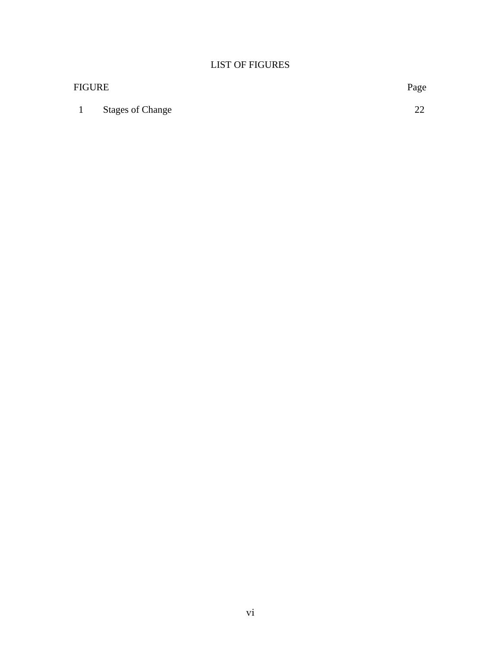# LIST OF FIGURES

| <b>FIGURE</b> |                         | Page     |
|---------------|-------------------------|----------|
|               | <b>Stages of Change</b> | ററ<br>∠∠ |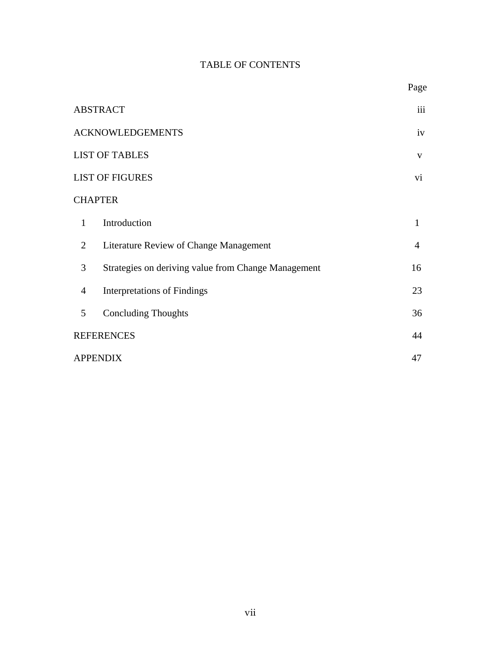# TABLE OF CONTENTS

|                |                                                     | Page           |
|----------------|-----------------------------------------------------|----------------|
|                | <b>ABSTRACT</b>                                     | iii            |
|                | <b>ACKNOWLEDGEMENTS</b>                             | iv             |
|                | <b>LIST OF TABLES</b>                               | V              |
|                | <b>LIST OF FIGURES</b>                              | vi             |
|                | <b>CHAPTER</b>                                      |                |
| $\mathbf{1}$   | Introduction                                        | 1              |
| $\overline{2}$ | Literature Review of Change Management              | $\overline{4}$ |
| 3              | Strategies on deriving value from Change Management | 16             |
| 4              | <b>Interpretations of Findings</b>                  | 23             |
| 5              | <b>Concluding Thoughts</b>                          | 36             |
|                | <b>REFERENCES</b>                                   | 44             |
|                | <b>APPENDIX</b>                                     | 47             |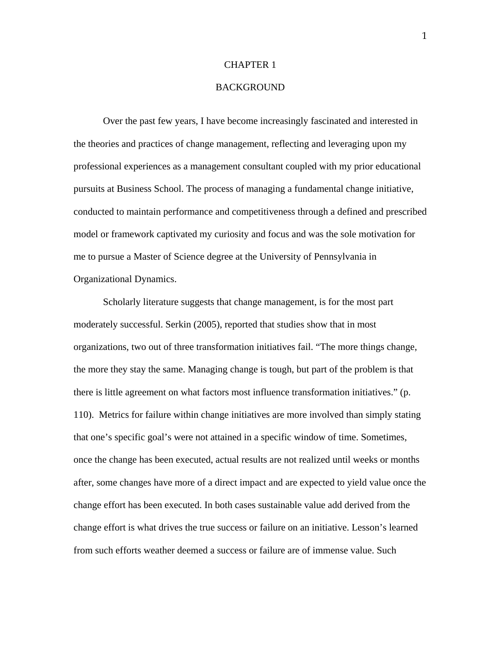#### CHAPTER 1

# BACKGROUND

 Over the past few years, I have become increasingly fascinated and interested in the theories and practices of change management, reflecting and leveraging upon my professional experiences as a management consultant coupled with my prior educational pursuits at Business School. The process of managing a fundamental change initiative, conducted to maintain performance and competitiveness through a defined and prescribed model or framework captivated my curiosity and focus and was the sole motivation for me to pursue a Master of Science degree at the University of Pennsylvania in Organizational Dynamics.

 Scholarly literature suggests that change management, is for the most part moderately successful. Serkin (2005), reported that studies show that in most organizations, two out of three transformation initiatives fail. "The more things change, the more they stay the same. Managing change is tough, but part of the problem is that there is little agreement on what factors most influence transformation initiatives." (p. 110). Metrics for failure within change initiatives are more involved than simply stating that one's specific goal's were not attained in a specific window of time. Sometimes, once the change has been executed, actual results are not realized until weeks or months after, some changes have more of a direct impact and are expected to yield value once the change effort has been executed. In both cases sustainable value add derived from the change effort is what drives the true success or failure on an initiative. Lesson's learned from such efforts weather deemed a success or failure are of immense value. Such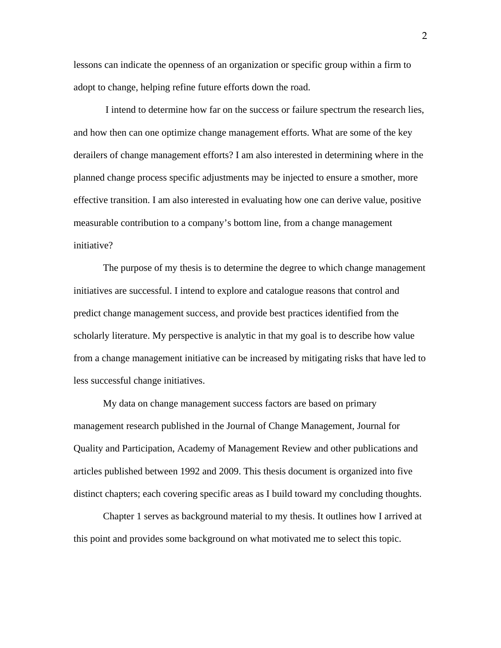lessons can indicate the openness of an organization or specific group within a firm to adopt to change, helping refine future efforts down the road.

 I intend to determine how far on the success or failure spectrum the research lies, and how then can one optimize change management efforts. What are some of the key derailers of change management efforts? I am also interested in determining where in the planned change process specific adjustments may be injected to ensure a smother, more effective transition. I am also interested in evaluating how one can derive value, positive measurable contribution to a company's bottom line, from a change management initiative?

 The purpose of my thesis is to determine the degree to which change management initiatives are successful. I intend to explore and catalogue reasons that control and predict change management success, and provide best practices identified from the scholarly literature. My perspective is analytic in that my goal is to describe how value from a change management initiative can be increased by mitigating risks that have led to less successful change initiatives.

 My data on change management success factors are based on primary management research published in the Journal of Change Management, Journal for Quality and Participation, Academy of Management Review and other publications and articles published between 1992 and 2009. This thesis document is organized into five distinct chapters; each covering specific areas as I build toward my concluding thoughts.

 Chapter 1 serves as background material to my thesis. It outlines how I arrived at this point and provides some background on what motivated me to select this topic.

2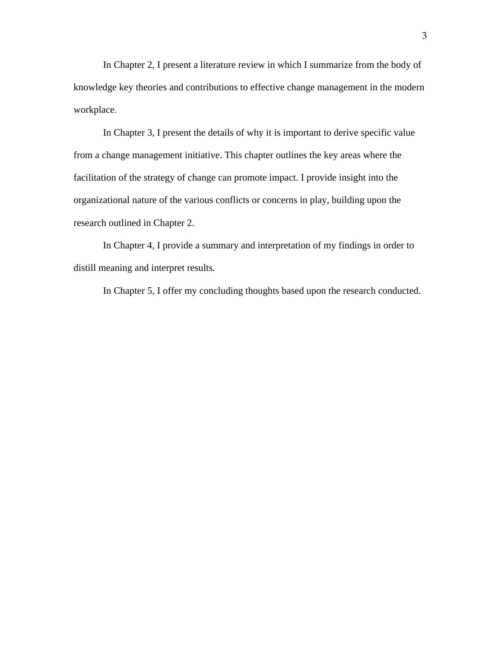In Chapter 2, I present a literature review in which I summarize from the body of knowledge key theories and contributions to effective change management in the modern workplace.

 In Chapter 3, I present the details of why it is important to derive specific value from a change management initiative. This chapter outlines the key areas where the facilitation of the strategy of change can promote impact. I provide insight into the organizational nature of the various conflicts or concerns in play, building upon the research outlined in Chapter 2.

 In Chapter 4, I provide a summary and interpretation of my findings in order to distill meaning and interpret results.

In Chapter 5, I offer my concluding thoughts based upon the research conducted.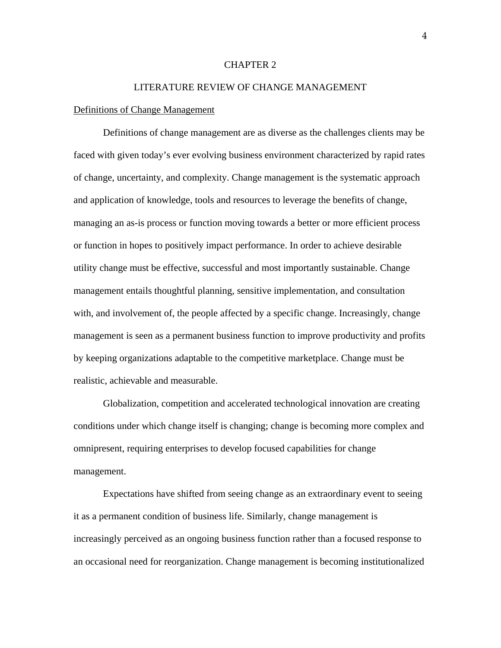### CHAPTER 2

# LITERATURE REVIEW OF CHANGE MANAGEMENT

#### Definitions of Change Management

 Definitions of change management are as diverse as the challenges clients may be faced with given today's ever evolving business environment characterized by rapid rates of change, uncertainty, and complexity. Change management is the systematic approach and application of knowledge, tools and resources to leverage the benefits of change, managing an as-is process or function moving towards a better or more efficient process or function in hopes to positively impact performance. In order to achieve desirable utility change must be effective, successful and most importantly sustainable. Change management entails thoughtful planning, sensitive implementation, and consultation with, and involvement of, the people affected by a specific change. Increasingly, change management is seen as a permanent business function to improve productivity and profits by keeping organizations adaptable to the competitive marketplace. Change must be realistic, achievable and measurable.

 Globalization, competition and accelerated technological innovation are creating conditions under which change itself is changing; change is becoming more complex and omnipresent, requiring enterprises to develop focused capabilities for change management.

 Expectations have shifted from seeing change as an extraordinary event to seeing it as a permanent condition of business life. Similarly, change management is increasingly perceived as an ongoing business function rather than a focused response to an occasional need for reorganization. Change management is becoming institutionalized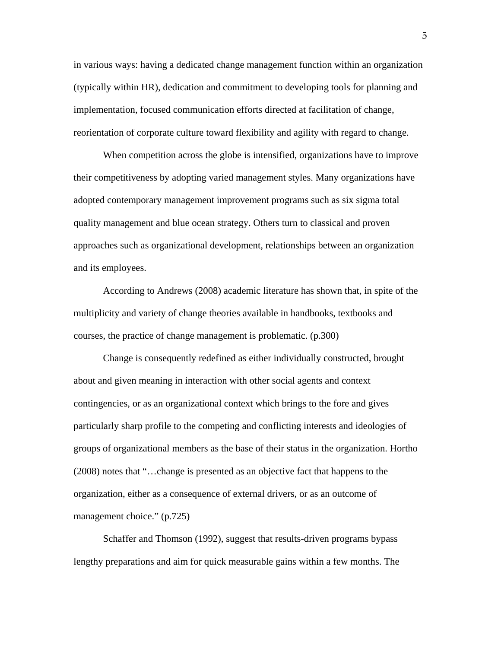in various ways: having a dedicated change management function within an organization (typically within HR), dedication and commitment to developing tools for planning and implementation, focused communication efforts directed at facilitation of change, reorientation of corporate culture toward flexibility and agility with regard to change.

 When competition across the globe is intensified, organizations have to improve their competitiveness by adopting varied management styles. Many organizations have adopted contemporary management improvement programs such as six sigma total quality management and blue ocean strategy. Others turn to classical and proven approaches such as organizational development, relationships between an organization and its employees.

 According to Andrews (2008) academic literature has shown that, in spite of the multiplicity and variety of change theories available in handbooks, textbooks and courses, the practice of change management is problematic. (p.300)

 Change is consequently redefined as either individually constructed, brought about and given meaning in interaction with other social agents and context contingencies, or as an organizational context which brings to the fore and gives particularly sharp profile to the competing and conflicting interests and ideologies of groups of organizational members as the base of their status in the organization. Hortho (2008) notes that "…change is presented as an objective fact that happens to the organization, either as a consequence of external drivers, or as an outcome of management choice." (p.725)

 Schaffer and Thomson (1992), suggest that results-driven programs bypass lengthy preparations and aim for quick measurable gains within a few months. The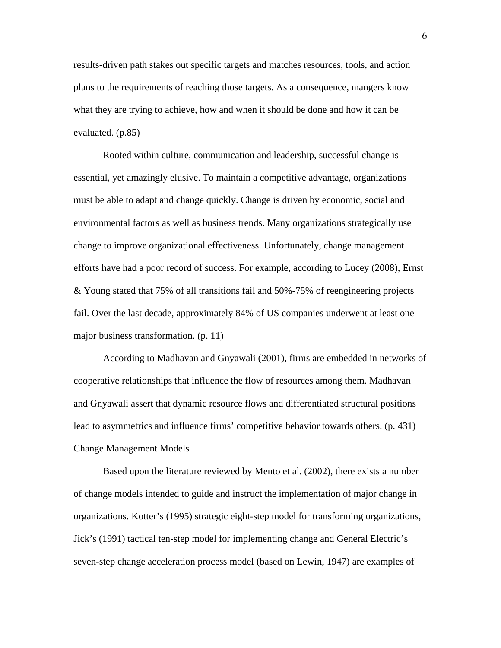results-driven path stakes out specific targets and matches resources, tools, and action plans to the requirements of reaching those targets. As a consequence, mangers know what they are trying to achieve, how and when it should be done and how it can be evaluated. (p.85)

 Rooted within culture, communication and leadership, successful change is essential, yet amazingly elusive. To maintain a competitive advantage, organizations must be able to adapt and change quickly. Change is driven by economic, social and environmental factors as well as business trends. Many organizations strategically use change to improve organizational effectiveness. Unfortunately, change management efforts have had a poor record of success. For example, according to Lucey (2008), Ernst & Young stated that 75% of all transitions fail and 50%-75% of reengineering projects fail. Over the last decade, approximately 84% of US companies underwent at least one major business transformation. (p. 11)

 According to Madhavan and Gnyawali (2001), firms are embedded in networks of cooperative relationships that influence the flow of resources among them. Madhavan and Gnyawali assert that dynamic resource flows and differentiated structural positions lead to asymmetrics and influence firms' competitive behavior towards others. (p. 431) Change Management Models

 Based upon the literature reviewed by Mento et al. (2002), there exists a number of change models intended to guide and instruct the implementation of major change in organizations. Kotter's (1995) strategic eight-step model for transforming organizations, Jick's (1991) tactical ten-step model for implementing change and General Electric's seven-step change acceleration process model (based on Lewin, 1947) are examples of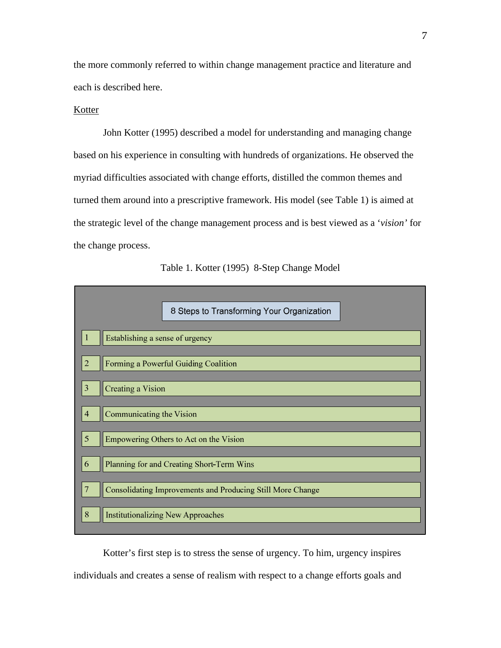the more commonly referred to within change management practice and literature and each is described here.

# Kotter

 John Kotter (1995) described a model for understanding and managing change based on his experience in consulting with hundreds of organizations. He observed the myriad difficulties associated with change efforts, distilled the common themes and turned them around into a prescriptive framework. His model (see Table 1) is aimed at the strategic level of the change management process and is best viewed as a '*vision'* for the change process.



 Kotter's first step is to stress the sense of urgency. To him, urgency inspires individuals and creates a sense of realism with respect to a change efforts goals and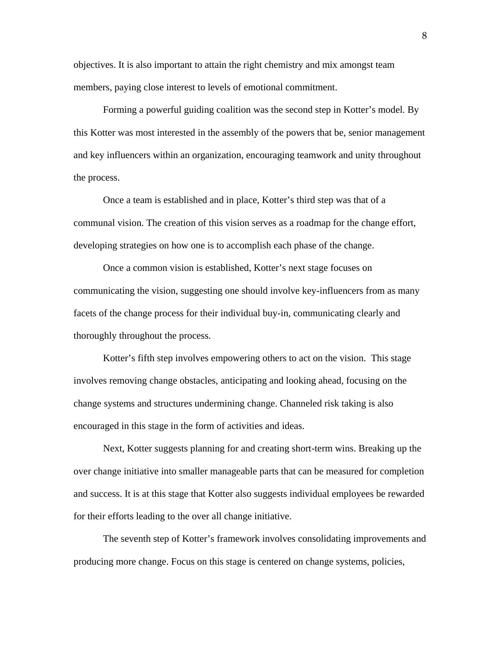objectives. It is also important to attain the right chemistry and mix amongst team members, paying close interest to levels of emotional commitment.

 Forming a powerful guiding coalition was the second step in Kotter's model. By this Kotter was most interested in the assembly of the powers that be, senior management and key influencers within an organization, encouraging teamwork and unity throughout the process.

 Once a team is established and in place, Kotter's third step was that of a communal vision. The creation of this vision serves as a roadmap for the change effort, developing strategies on how one is to accomplish each phase of the change.

 Once a common vision is established, Kotter's next stage focuses on communicating the vision, suggesting one should involve key-influencers from as many facets of the change process for their individual buy-in, communicating clearly and thoroughly throughout the process.

 Kotter's fifth step involves empowering others to act on the vision. This stage involves removing change obstacles, anticipating and looking ahead, focusing on the change systems and structures undermining change. Channeled risk taking is also encouraged in this stage in the form of activities and ideas.

 Next, Kotter suggests planning for and creating short-term wins. Breaking up the over change initiative into smaller manageable parts that can be measured for completion and success. It is at this stage that Kotter also suggests individual employees be rewarded for their efforts leading to the over all change initiative.

 The seventh step of Kotter's framework involves consolidating improvements and producing more change. Focus on this stage is centered on change systems, policies,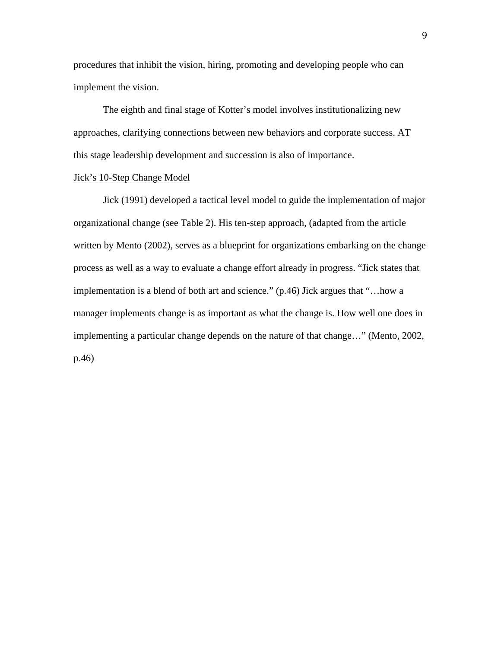procedures that inhibit the vision, hiring, promoting and developing people who can implement the vision.

 The eighth and final stage of Kotter's model involves institutionalizing new approaches, clarifying connections between new behaviors and corporate success. AT this stage leadership development and succession is also of importance.

# Jick's 10-Step Change Model

 Jick (1991) developed a tactical level model to guide the implementation of major organizational change (see Table 2). His ten-step approach, (adapted from the article written by Mento (2002), serves as a blueprint for organizations embarking on the change process as well as a way to evaluate a change effort already in progress. "Jick states that implementation is a blend of both art and science." (p.46) Jick argues that "…how a manager implements change is as important as what the change is. How well one does in implementing a particular change depends on the nature of that change…" (Mento, 2002, p.46)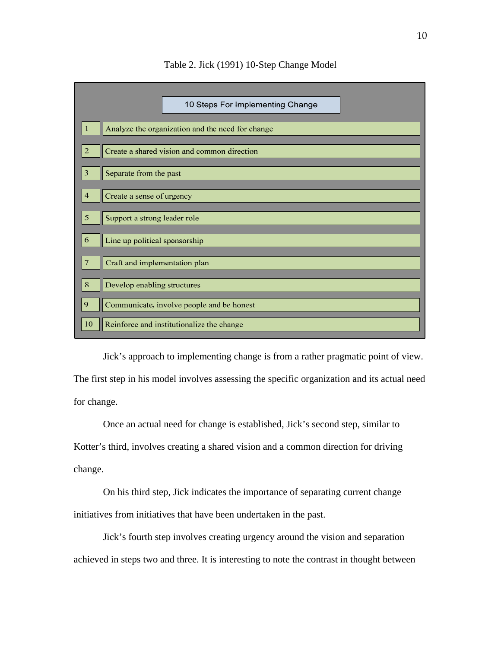

# Table 2. Jick (1991) 10-Step Change Model

 Jick's approach to implementing change is from a rather pragmatic point of view. The first step in his model involves assessing the specific organization and its actual need for change.

 Once an actual need for change is established, Jick's second step, similar to Kotter's third, involves creating a shared vision and a common direction for driving change.

 On his third step, Jick indicates the importance of separating current change initiatives from initiatives that have been undertaken in the past.

 Jick's fourth step involves creating urgency around the vision and separation achieved in steps two and three. It is interesting to note the contrast in thought between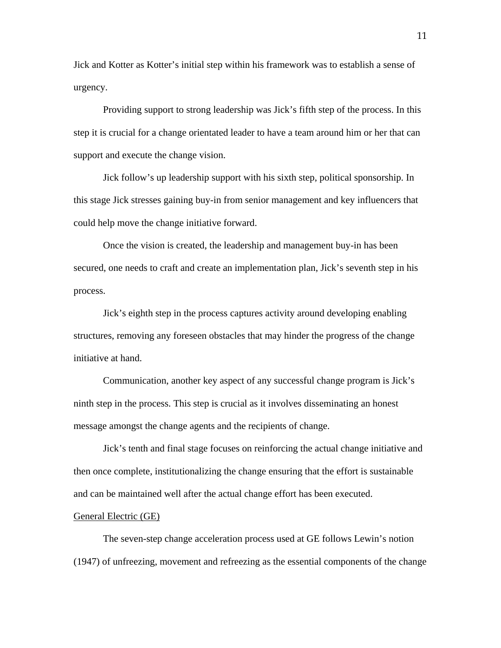Jick and Kotter as Kotter's initial step within his framework was to establish a sense of urgency.

 Providing support to strong leadership was Jick's fifth step of the process. In this step it is crucial for a change orientated leader to have a team around him or her that can support and execute the change vision.

 Jick follow's up leadership support with his sixth step, political sponsorship. In this stage Jick stresses gaining buy-in from senior management and key influencers that could help move the change initiative forward.

 Once the vision is created, the leadership and management buy-in has been secured, one needs to craft and create an implementation plan, Jick's seventh step in his process.

 Jick's eighth step in the process captures activity around developing enabling structures, removing any foreseen obstacles that may hinder the progress of the change initiative at hand.

 Communication, another key aspect of any successful change program is Jick's ninth step in the process. This step is crucial as it involves disseminating an honest message amongst the change agents and the recipients of change.

 Jick's tenth and final stage focuses on reinforcing the actual change initiative and then once complete, institutionalizing the change ensuring that the effort is sustainable and can be maintained well after the actual change effort has been executed.

#### General Electric (GE)

 The seven-step change acceleration process used at GE follows Lewin's notion (1947) of unfreezing, movement and refreezing as the essential components of the change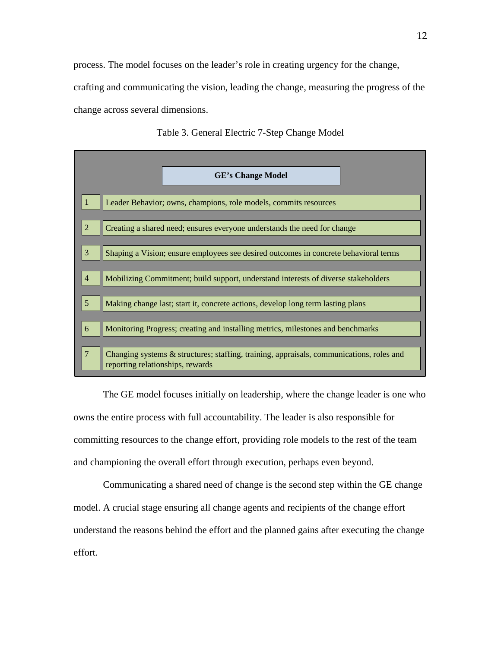process. The model focuses on the leader's role in creating urgency for the change, crafting and communicating the vision, leading the change, measuring the progress of the change across several dimensions.



Table 3. General Electric 7-Step Change Model

 The GE model focuses initially on leadership, where the change leader is one who owns the entire process with full accountability. The leader is also responsible for committing resources to the change effort, providing role models to the rest of the team and championing the overall effort through execution, perhaps even beyond.

 Communicating a shared need of change is the second step within the GE change model. A crucial stage ensuring all change agents and recipients of the change effort understand the reasons behind the effort and the planned gains after executing the change effort.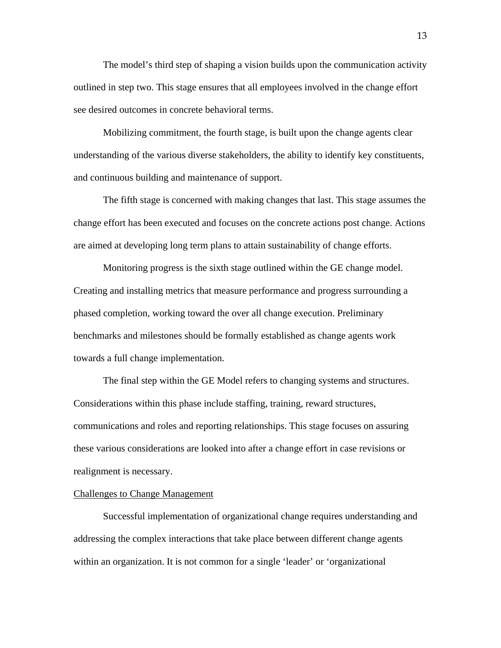The model's third step of shaping a vision builds upon the communication activity outlined in step two. This stage ensures that all employees involved in the change effort see desired outcomes in concrete behavioral terms.

 Mobilizing commitment, the fourth stage, is built upon the change agents clear understanding of the various diverse stakeholders, the ability to identify key constituents, and continuous building and maintenance of support.

 The fifth stage is concerned with making changes that last. This stage assumes the change effort has been executed and focuses on the concrete actions post change. Actions are aimed at developing long term plans to attain sustainability of change efforts.

 Monitoring progress is the sixth stage outlined within the GE change model. Creating and installing metrics that measure performance and progress surrounding a phased completion, working toward the over all change execution. Preliminary benchmarks and milestones should be formally established as change agents work towards a full change implementation.

 The final step within the GE Model refers to changing systems and structures. Considerations within this phase include staffing, training, reward structures, communications and roles and reporting relationships. This stage focuses on assuring these various considerations are looked into after a change effort in case revisions or realignment is necessary.

# Challenges to Change Management

 Successful implementation of organizational change requires understanding and addressing the complex interactions that take place between different change agents within an organization. It is not common for a single 'leader' or 'organizational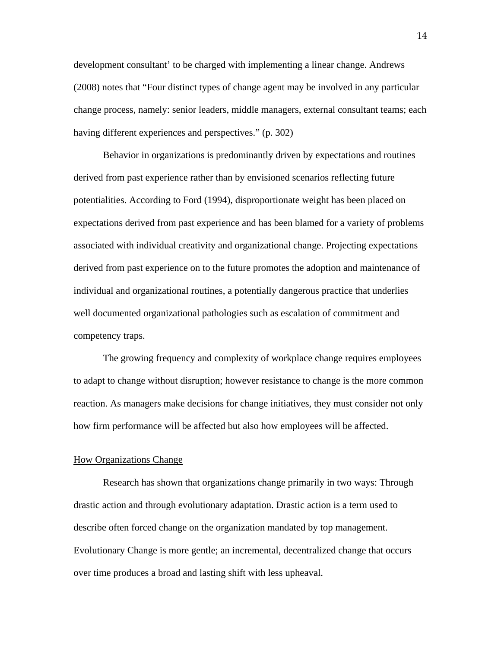development consultant' to be charged with implementing a linear change. Andrews (2008) notes that "Four distinct types of change agent may be involved in any particular change process, namely: senior leaders, middle managers, external consultant teams; each having different experiences and perspectives." (p. 302)

 Behavior in organizations is predominantly driven by expectations and routines derived from past experience rather than by envisioned scenarios reflecting future potentialities. According to Ford (1994), disproportionate weight has been placed on expectations derived from past experience and has been blamed for a variety of problems associated with individual creativity and organizational change. Projecting expectations derived from past experience on to the future promotes the adoption and maintenance of individual and organizational routines, a potentially dangerous practice that underlies well documented organizational pathologies such as escalation of commitment and competency traps.

 The growing frequency and complexity of workplace change requires employees to adapt to change without disruption; however resistance to change is the more common reaction. As managers make decisions for change initiatives, they must consider not only how firm performance will be affected but also how employees will be affected.

#### How Organizations Change

 Research has shown that organizations change primarily in two ways: Through drastic action and through evolutionary adaptation. Drastic action is a term used to describe often forced change on the organization mandated by top management. Evolutionary Change is more gentle; an incremental, decentralized change that occurs over time produces a broad and lasting shift with less upheaval.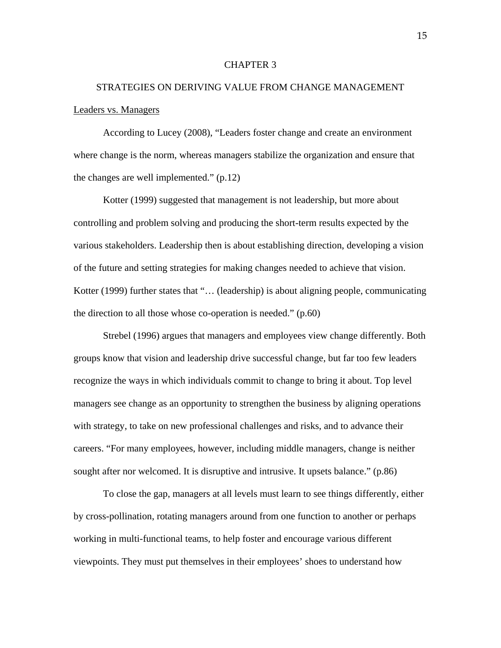#### CHAPTER 3

# STRATEGIES ON DERIVING VALUE FROM CHANGE MANAGEMENT Leaders vs. Managers

 According to Lucey (2008), "Leaders foster change and create an environment where change is the norm, whereas managers stabilize the organization and ensure that the changes are well implemented." (p.12)

 Kotter (1999) suggested that management is not leadership, but more about controlling and problem solving and producing the short-term results expected by the various stakeholders. Leadership then is about establishing direction, developing a vision of the future and setting strategies for making changes needed to achieve that vision. Kotter (1999) further states that "… (leadership) is about aligning people, communicating the direction to all those whose co-operation is needed." (p.60)

 Strebel (1996) argues that managers and employees view change differently. Both groups know that vision and leadership drive successful change, but far too few leaders recognize the ways in which individuals commit to change to bring it about. Top level managers see change as an opportunity to strengthen the business by aligning operations with strategy, to take on new professional challenges and risks, and to advance their careers. "For many employees, however, including middle managers, change is neither sought after nor welcomed. It is disruptive and intrusive. It upsets balance." (p.86)

 To close the gap, managers at all levels must learn to see things differently, either by cross-pollination, rotating managers around from one function to another or perhaps working in multi-functional teams, to help foster and encourage various different viewpoints. They must put themselves in their employees' shoes to understand how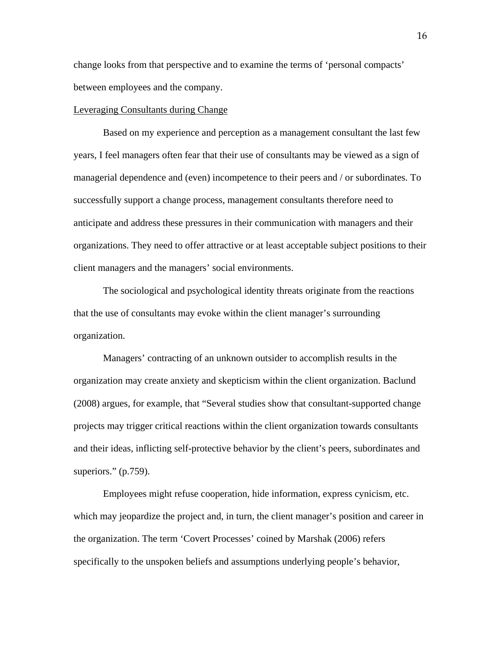change looks from that perspective and to examine the terms of 'personal compacts' between employees and the company.

#### Leveraging Consultants during Change

 Based on my experience and perception as a management consultant the last few years, I feel managers often fear that their use of consultants may be viewed as a sign of managerial dependence and (even) incompetence to their peers and / or subordinates. To successfully support a change process, management consultants therefore need to anticipate and address these pressures in their communication with managers and their organizations. They need to offer attractive or at least acceptable subject positions to their client managers and the managers' social environments.

 The sociological and psychological identity threats originate from the reactions that the use of consultants may evoke within the client manager's surrounding organization.

 Managers' contracting of an unknown outsider to accomplish results in the organization may create anxiety and skepticism within the client organization. Baclund (2008) argues, for example, that "Several studies show that consultant-supported change projects may trigger critical reactions within the client organization towards consultants and their ideas, inflicting self-protective behavior by the client's peers, subordinates and superiors." (p.759).

 Employees might refuse cooperation, hide information, express cynicism, etc. which may jeopardize the project and, in turn, the client manager's position and career in the organization. The term 'Covert Processes' coined by Marshak (2006) refers specifically to the unspoken beliefs and assumptions underlying people's behavior,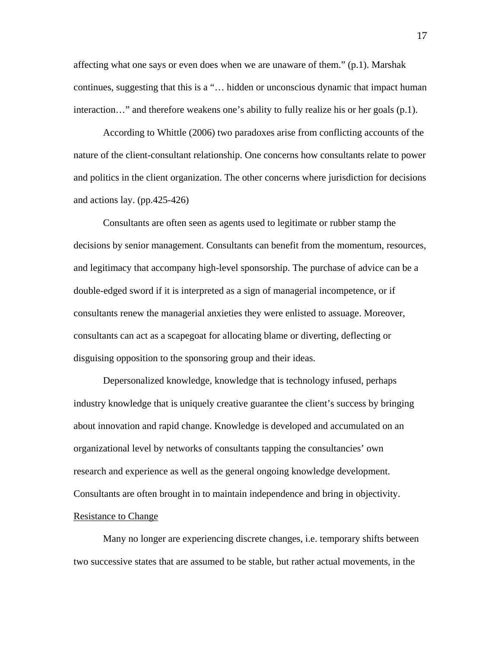affecting what one says or even does when we are unaware of them." (p.1). Marshak continues, suggesting that this is a "… hidden or unconscious dynamic that impact human interaction…" and therefore weakens one's ability to fully realize his or her goals (p.1).

 According to Whittle (2006) two paradoxes arise from conflicting accounts of the nature of the client-consultant relationship. One concerns how consultants relate to power and politics in the client organization. The other concerns where jurisdiction for decisions and actions lay. (pp.425-426)

 Consultants are often seen as agents used to legitimate or rubber stamp the decisions by senior management. Consultants can benefit from the momentum, resources, and legitimacy that accompany high-level sponsorship. The purchase of advice can be a double-edged sword if it is interpreted as a sign of managerial incompetence, or if consultants renew the managerial anxieties they were enlisted to assuage. Moreover, consultants can act as a scapegoat for allocating blame or diverting, deflecting or disguising opposition to the sponsoring group and their ideas.

 Depersonalized knowledge, knowledge that is technology infused, perhaps industry knowledge that is uniquely creative guarantee the client's success by bringing about innovation and rapid change. Knowledge is developed and accumulated on an organizational level by networks of consultants tapping the consultancies' own research and experience as well as the general ongoing knowledge development. Consultants are often brought in to maintain independence and bring in objectivity. Resistance to Change

 Many no longer are experiencing discrete changes, i.e. temporary shifts between two successive states that are assumed to be stable, but rather actual movements, in the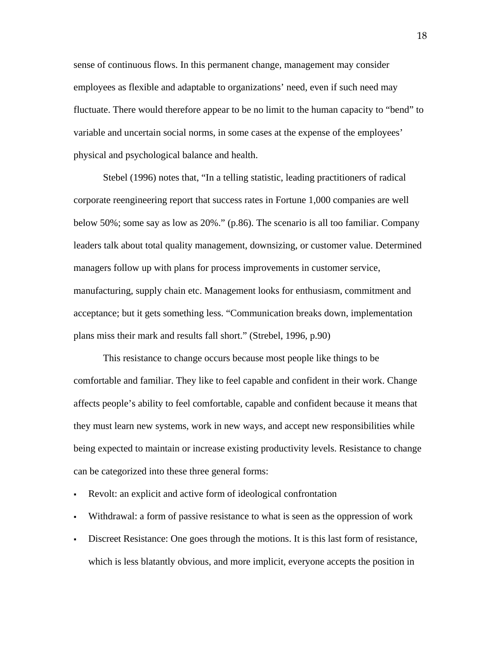sense of continuous flows. In this permanent change, management may consider employees as flexible and adaptable to organizations' need, even if such need may fluctuate. There would therefore appear to be no limit to the human capacity to "bend" to variable and uncertain social norms, in some cases at the expense of the employees' physical and psychological balance and health.

 Stebel (1996) notes that, "In a telling statistic, leading practitioners of radical corporate reengineering report that success rates in Fortune 1,000 companies are well below 50%; some say as low as 20%." (p.86). The scenario is all too familiar. Company leaders talk about total quality management, downsizing, or customer value. Determined managers follow up with plans for process improvements in customer service, manufacturing, supply chain etc. Management looks for enthusiasm, commitment and acceptance; but it gets something less. "Communication breaks down, implementation plans miss their mark and results fall short." (Strebel, 1996, p.90)

 This resistance to change occurs because most people like things to be comfortable and familiar. They like to feel capable and confident in their work. Change affects people's ability to feel comfortable, capable and confident because it means that they must learn new systems, work in new ways, and accept new responsibilities while being expected to maintain or increase existing productivity levels. Resistance to change can be categorized into these three general forms:

- Revolt: an explicit and active form of ideological confrontation
- Withdrawal: a form of passive resistance to what is seen as the oppression of work
- Discreet Resistance: One goes through the motions. It is this last form of resistance, which is less blatantly obvious, and more implicit, everyone accepts the position in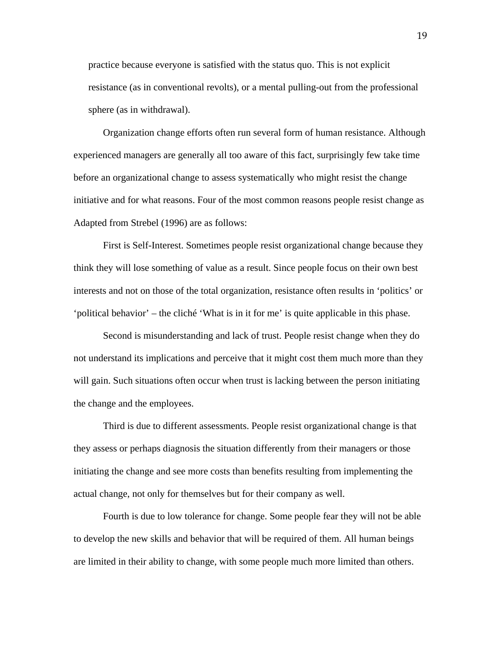practice because everyone is satisfied with the status quo. This is not explicit resistance (as in conventional revolts), or a mental pulling-out from the professional sphere (as in withdrawal).

 Organization change efforts often run several form of human resistance. Although experienced managers are generally all too aware of this fact, surprisingly few take time before an organizational change to assess systematically who might resist the change initiative and for what reasons. Four of the most common reasons people resist change as Adapted from Strebel (1996) are as follows:

First is Self-Interest. Sometimes people resist organizational change because they think they will lose something of value as a result. Since people focus on their own best interests and not on those of the total organization, resistance often results in 'politics' or 'political behavior' – the cliché 'What is in it for me' is quite applicable in this phase.

Second is misunderstanding and lack of trust. People resist change when they do not understand its implications and perceive that it might cost them much more than they will gain. Such situations often occur when trust is lacking between the person initiating the change and the employees.

 Third is due to different assessments. People resist organizational change is that they assess or perhaps diagnosis the situation differently from their managers or those initiating the change and see more costs than benefits resulting from implementing the actual change, not only for themselves but for their company as well.

Fourth is due to low tolerance for change. Some people fear they will not be able to develop the new skills and behavior that will be required of them. All human beings are limited in their ability to change, with some people much more limited than others.

19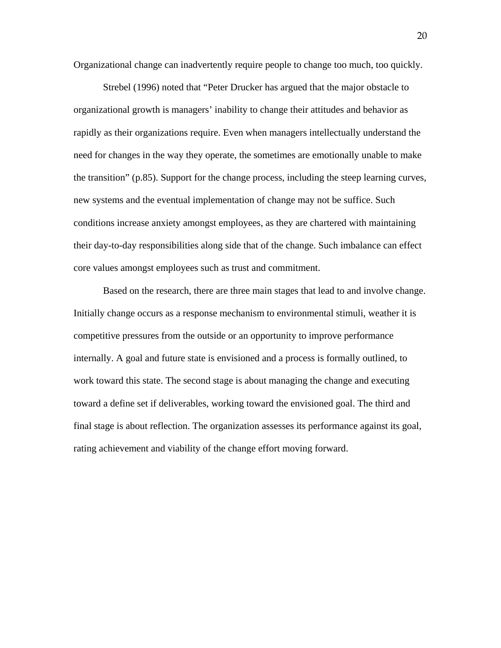Organizational change can inadvertently require people to change too much, too quickly.

 Strebel (1996) noted that "Peter Drucker has argued that the major obstacle to organizational growth is managers' inability to change their attitudes and behavior as rapidly as their organizations require. Even when managers intellectually understand the need for changes in the way they operate, the sometimes are emotionally unable to make the transition" (p.85). Support for the change process, including the steep learning curves, new systems and the eventual implementation of change may not be suffice. Such conditions increase anxiety amongst employees, as they are chartered with maintaining their day-to-day responsibilities along side that of the change. Such imbalance can effect core values amongst employees such as trust and commitment.

 Based on the research, there are three main stages that lead to and involve change. Initially change occurs as a response mechanism to environmental stimuli, weather it is competitive pressures from the outside or an opportunity to improve performance internally. A goal and future state is envisioned and a process is formally outlined, to work toward this state. The second stage is about managing the change and executing toward a define set if deliverables, working toward the envisioned goal. The third and final stage is about reflection. The organization assesses its performance against its goal, rating achievement and viability of the change effort moving forward.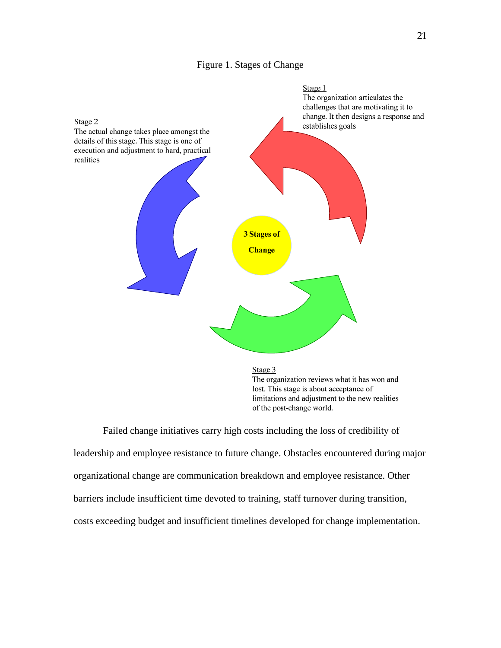# Figure 1. Stages of Change



The organization reviews what it has won and lost. This stage is about acceptance of limitations and adjustment to the new realities of the post-change world.

 Failed change initiatives carry high costs including the loss of credibility of leadership and employee resistance to future change. Obstacles encountered during major organizational change are communication breakdown and employee resistance. Other barriers include insufficient time devoted to training, staff turnover during transition, costs exceeding budget and insufficient timelines developed for change implementation.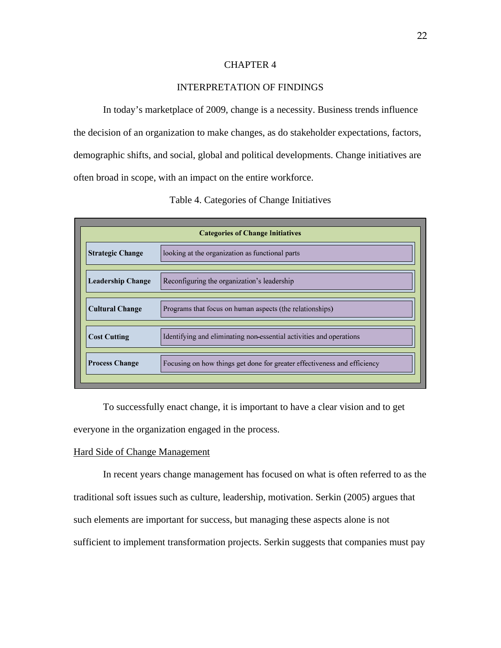# CHAPTER 4

# INTERPRETATION OF FINDINGS

 In today's marketplace of 2009, change is a necessity. Business trends influence the decision of an organization to make changes, as do stakeholder expectations, factors, demographic shifts, and social, global and political developments. Change initiatives are often broad in scope, with an impact on the entire workforce.

| <b>Categories of Change Initiatives</b> |                                                                          |  |
|-----------------------------------------|--------------------------------------------------------------------------|--|
| <b>Strategic Change</b>                 | looking at the organization as functional parts                          |  |
| <b>Leadership Change</b>                | Reconfiguring the organization's leadership                              |  |
| <b>Cultural Change</b>                  | Programs that focus on human aspects (the relationships)                 |  |
| <b>Cost Cutting</b>                     | Identifying and eliminating non-essential activities and operations      |  |
| <b>Process Change</b>                   | Focusing on how things get done for greater effectiveness and efficiency |  |
|                                         |                                                                          |  |

 To successfully enact change, it is important to have a clear vision and to get everyone in the organization engaged in the process.

# Hard Side of Change Management

 In recent years change management has focused on what is often referred to as the traditional soft issues such as culture, leadership, motivation. Serkin (2005) argues that such elements are important for success, but managing these aspects alone is not sufficient to implement transformation projects. Serkin suggests that companies must pay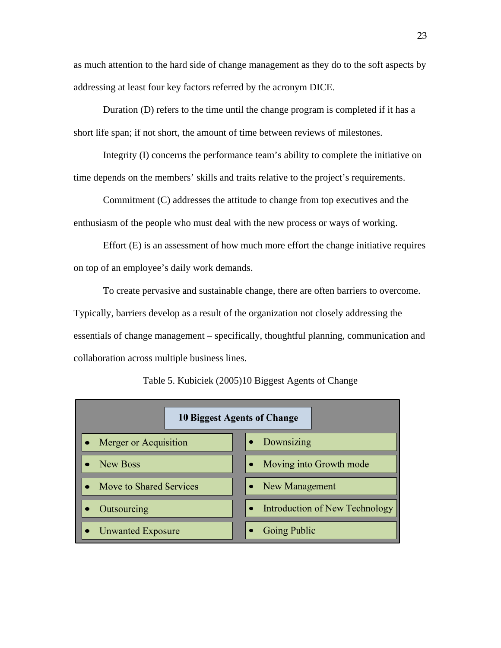as much attention to the hard side of change management as they do to the soft aspects by addressing at least four key factors referred by the acronym DICE.

 Duration (D) refers to the time until the change program is completed if it has a short life span; if not short, the amount of time between reviews of milestones.

 Integrity (I) concerns the performance team's ability to complete the initiative on time depends on the members' skills and traits relative to the project's requirements.

 Commitment (C) addresses the attitude to change from top executives and the enthusiasm of the people who must deal with the new process or ways of working.

 Effort (E) is an assessment of how much more effort the change initiative requires on top of an employee's daily work demands.

 To create pervasive and sustainable change, there are often barriers to overcome. Typically, barriers develop as a result of the organization not closely addressing the essentials of change management – specifically, thoughtful planning, communication and collaboration across multiple business lines.

| 10 Biggest Agents of Change        |                                |  |
|------------------------------------|--------------------------------|--|
| Merger or Acquisition<br>$\bullet$ | Downsizing                     |  |
| New Boss                           | Moving into Growth mode        |  |
| Move to Shared Services            | New Management                 |  |
| Outsourcing                        | Introduction of New Technology |  |
| <b>Unwanted Exposure</b>           | Going Public                   |  |

Table 5. Kubiciek (2005)10 Biggest Agents of Change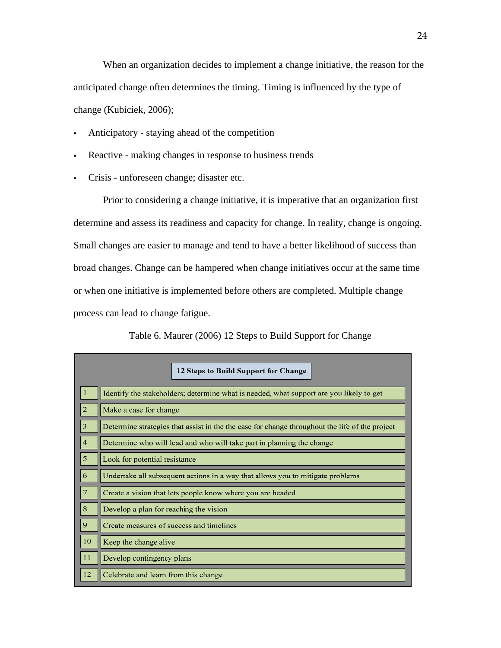When an organization decides to implement a change initiative, the reason for the anticipated change often determines the timing. Timing is influenced by the type of change (Kubiciek, 2006);

- Anticipatory staying ahead of the competition
- Reactive making changes in response to business trends
- Crisis unforeseen change; disaster etc.

 Prior to considering a change initiative, it is imperative that an organization first determine and assess its readiness and capacity for change. In reality, change is ongoing. Small changes are easier to manage and tend to have a better likelihood of success than broad changes. Change can be hampered when change initiatives occur at the same time or when one initiative is implemented before others are completed. Multiple change process can lead to change fatigue.

Table 6. Maurer (2006) 12 Steps to Build Support for Change

|                | 12 Steps to Build Support for Change                                                           |  |
|----------------|------------------------------------------------------------------------------------------------|--|
| -1             | Identify the stakeholders; determine what is needed, what support are you likely to get        |  |
| $\overline{2}$ | Make a case for change                                                                         |  |
| 3              | Determine strategies that assist in the the case for change throughout the life of the project |  |
| $\overline{4}$ | Determine who will lead and who will take part in planning the change                          |  |
| 5              | Look for potential resistance                                                                  |  |
| 6              | Undertake all subsequent actions in a way that allows you to mitigate problems                 |  |
| 7              | Create a vision that lets people know where you are headed                                     |  |
| 8              | Develop a plan for reaching the vision                                                         |  |
| 9              | Create measures of success and timelines                                                       |  |
| 10             | Keep the change alive                                                                          |  |
| 11             | Develop contingency plans                                                                      |  |
| 12             | Celebrate and learn from this change                                                           |  |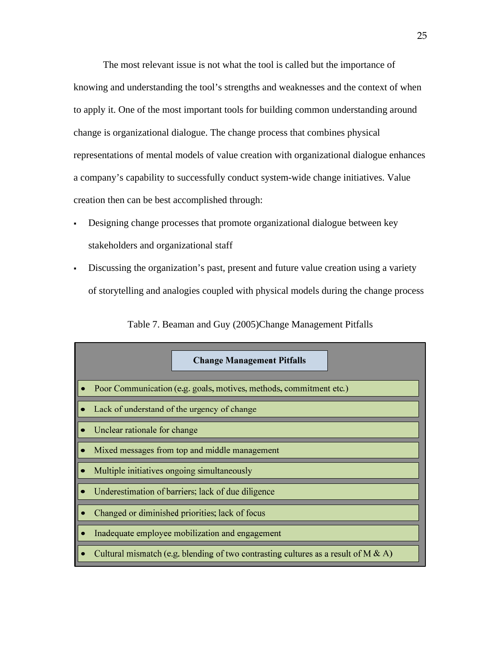The most relevant issue is not what the tool is called but the importance of knowing and understanding the tool's strengths and weaknesses and the context of when to apply it. One of the most important tools for building common understanding around change is organizational dialogue. The change process that combines physical representations of mental models of value creation with organizational dialogue enhances a company's capability to successfully conduct system-wide change initiatives. Value creation then can be best accomplished through:

- Designing change processes that promote organizational dialogue between key stakeholders and organizational staff
- Discussing the organization's past, present and future value creation using a variety of storytelling and analogies coupled with physical models during the change process

| <b>Change Management Pitfalls</b>                                                     |  |
|---------------------------------------------------------------------------------------|--|
| Poor Communication (e.g. goals, motives, methods, commitment etc.)                    |  |
| Lack of understand of the urgency of change                                           |  |
| Unclear rationale for change                                                          |  |
| Mixed messages from top and middle management                                         |  |
| Multiple initiatives ongoing simultaneously                                           |  |
| Underestimation of barriers; lack of due diligence                                    |  |
| Changed or diminished priorities; lack of focus                                       |  |
| Inadequate employee mobilization and engagement                                       |  |
| Cultural mismatch (e.g. blending of two contrasting cultures as a result of M $\&$ A) |  |

Table 7. Beaman and Guy (2005)Change Management Pitfalls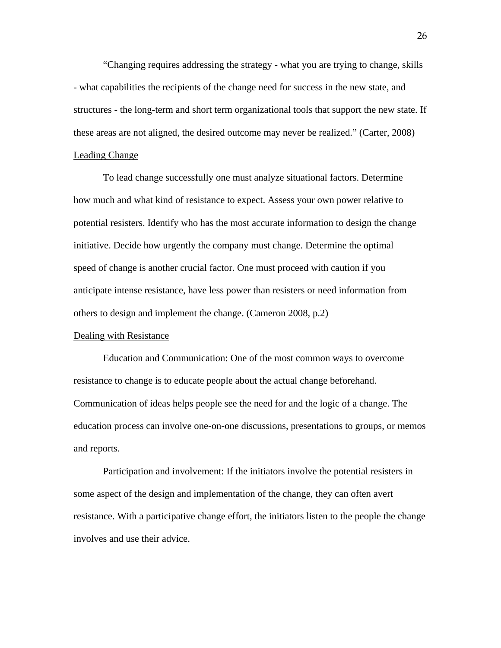"Changing requires addressing the strategy - what you are trying to change, skills - what capabilities the recipients of the change need for success in the new state, and structures - the long-term and short term organizational tools that support the new state. If these areas are not aligned, the desired outcome may never be realized." (Carter, 2008)

# Leading Change

 To lead change successfully one must analyze situational factors. Determine how much and what kind of resistance to expect. Assess your own power relative to potential resisters. Identify who has the most accurate information to design the change initiative. Decide how urgently the company must change. Determine the optimal speed of change is another crucial factor. One must proceed with caution if you anticipate intense resistance, have less power than resisters or need information from others to design and implement the change. (Cameron 2008, p.2)

# Dealing with Resistance

Education and Communication: One of the most common ways to overcome resistance to change is to educate people about the actual change beforehand. Communication of ideas helps people see the need for and the logic of a change. The education process can involve one-on-one discussions, presentations to groups, or memos and reports.

Participation and involvement: If the initiators involve the potential resisters in some aspect of the design and implementation of the change, they can often avert resistance. With a participative change effort, the initiators listen to the people the change involves and use their advice.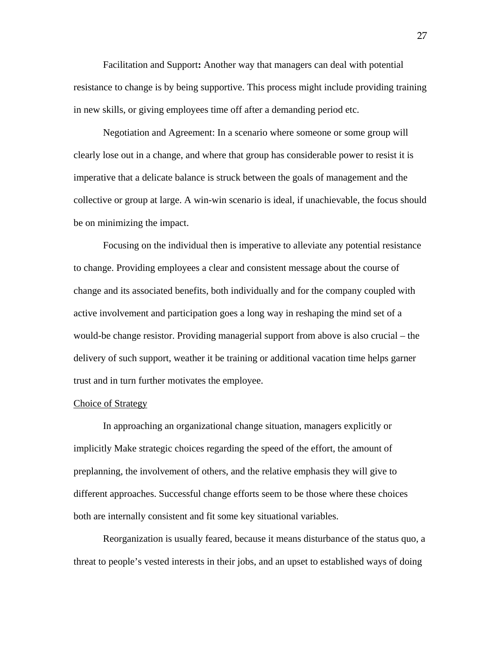Facilitation and Support**:** Another way that managers can deal with potential resistance to change is by being supportive. This process might include providing training in new skills, or giving employees time off after a demanding period etc.

 Negotiation and Agreement: In a scenario where someone or some group will clearly lose out in a change, and where that group has considerable power to resist it is imperative that a delicate balance is struck between the goals of management and the collective or group at large. A win-win scenario is ideal, if unachievable, the focus should be on minimizing the impact.

 Focusing on the individual then is imperative to alleviate any potential resistance to change. Providing employees a clear and consistent message about the course of change and its associated benefits, both individually and for the company coupled with active involvement and participation goes a long way in reshaping the mind set of a would-be change resistor. Providing managerial support from above is also crucial – the delivery of such support, weather it be training or additional vacation time helps garner trust and in turn further motivates the employee.

# Choice of Strategy

 In approaching an organizational change situation, managers explicitly or implicitly Make strategic choices regarding the speed of the effort, the amount of preplanning, the involvement of others, and the relative emphasis they will give to different approaches. Successful change efforts seem to be those where these choices both are internally consistent and fit some key situational variables.

 Reorganization is usually feared, because it means disturbance of the status quo, a threat to people's vested interests in their jobs, and an upset to established ways of doing

27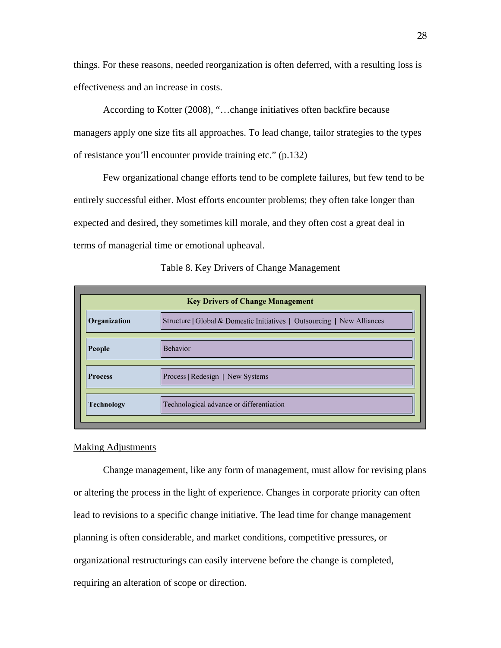things. For these reasons, needed reorganization is often deferred, with a resulting loss is effectiveness and an increase in costs.

 According to Kotter (2008), "…change initiatives often backfire because managers apply one size fits all approaches. To lead change, tailor strategies to the types of resistance you'll encounter provide training etc." (p.132)

 Few organizational change efforts tend to be complete failures, but few tend to be entirely successful either. Most efforts encounter problems; they often take longer than expected and desired, they sometimes kill morale, and they often cost a great deal in terms of managerial time or emotional upheaval.

| <b>Key Drivers of Change Management</b> |                                                                         |  |
|-----------------------------------------|-------------------------------------------------------------------------|--|
| Organization                            | Structure   Global & Domestic Initiatives   Outsourcing   New Alliances |  |
| People                                  | <b>Behavior</b>                                                         |  |
| <b>Process</b>                          | Process   Redesign   New Systems                                        |  |
| <b>Technology</b>                       | Technological advance or differentiation                                |  |

Table 8. Key Drivers of Change Management

# Making Adjustments

 Change management, like any form of management, must allow for revising plans or altering the process in the light of experience. Changes in corporate priority can often lead to revisions to a specific change initiative. The lead time for change management planning is often considerable, and market conditions, competitive pressures, or organizational restructurings can easily intervene before the change is completed, requiring an alteration of scope or direction.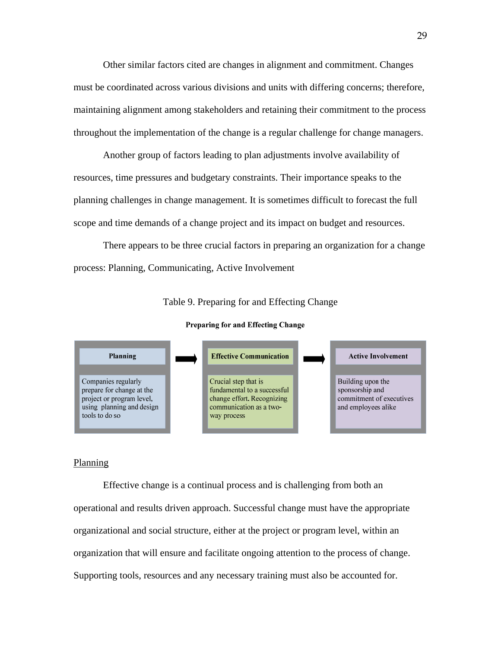Other similar factors cited are changes in alignment and commitment. Changes must be coordinated across various divisions and units with differing concerns; therefore, maintaining alignment among stakeholders and retaining their commitment to the process throughout the implementation of the change is a regular challenge for change managers.

 Another group of factors leading to plan adjustments involve availability of resources, time pressures and budgetary constraints. Their importance speaks to the planning challenges in change management. It is sometimes difficult to forecast the full scope and time demands of a change project and its impact on budget and resources.

 There appears to be three crucial factors in preparing an organization for a change process: Planning, Communicating, Active Involvement

Table 9. Preparing for and Effecting Change

**Preparing for and Effecting Change** 



#### Planning

Effective change is a continual process and is challenging from both an operational and results driven approach. Successful change must have the appropriate organizational and social structure, either at the project or program level, within an organization that will ensure and facilitate ongoing attention to the process of change. Supporting tools, resources and any necessary training must also be accounted for.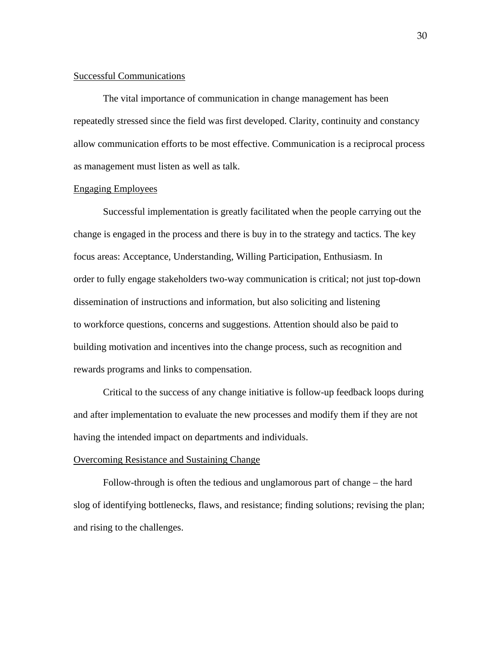# Successful Communications

 The vital importance of communication in change management has been repeatedly stressed since the field was first developed. Clarity, continuity and constancy allow communication efforts to be most effective. Communication is a reciprocal process as management must listen as well as talk.

# Engaging Employees

Successful implementation is greatly facilitated when the people carrying out the change is engaged in the process and there is buy in to the strategy and tactics. The key focus areas: Acceptance, Understanding, Willing Participation, Enthusiasm. In order to fully engage stakeholders two-way communication is critical; not just top-down dissemination of instructions and information, but also soliciting and listening to workforce questions, concerns and suggestions. Attention should also be paid to building motivation and incentives into the change process, such as recognition and rewards programs and links to compensation.

 Critical to the success of any change initiative is follow-up feedback loops during and after implementation to evaluate the new processes and modify them if they are not having the intended impact on departments and individuals.

# Overcoming Resistance and Sustaining Change

 Follow-through is often the tedious and unglamorous part of change – the hard slog of identifying bottlenecks, flaws, and resistance; finding solutions; revising the plan; and rising to the challenges.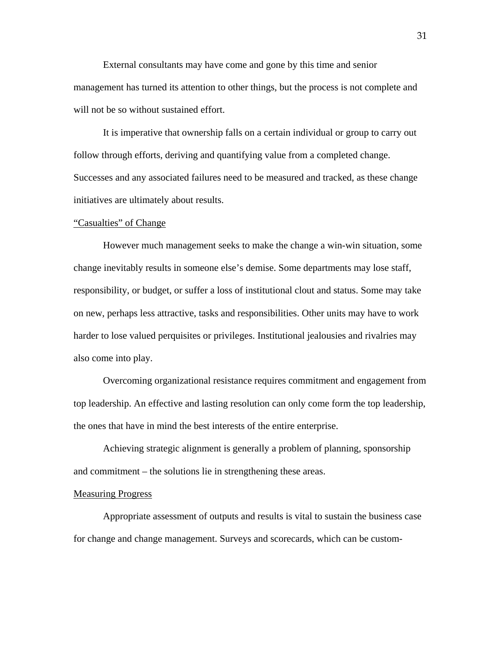External consultants may have come and gone by this time and senior management has turned its attention to other things, but the process is not complete and will not be so without sustained effort.

 It is imperative that ownership falls on a certain individual or group to carry out follow through efforts, deriving and quantifying value from a completed change. Successes and any associated failures need to be measured and tracked, as these change initiatives are ultimately about results.

#### "Casualties" of Change

 However much management seeks to make the change a win-win situation, some change inevitably results in someone else's demise. Some departments may lose staff, responsibility, or budget, or suffer a loss of institutional clout and status. Some may take on new, perhaps less attractive, tasks and responsibilities. Other units may have to work harder to lose valued perquisites or privileges. Institutional jealousies and rivalries may also come into play.

 Overcoming organizational resistance requires commitment and engagement from top leadership. An effective and lasting resolution can only come form the top leadership, the ones that have in mind the best interests of the entire enterprise.

 Achieving strategic alignment is generally a problem of planning, sponsorship and commitment – the solutions lie in strengthening these areas.

# Measuring Progress

Appropriate assessment of outputs and results is vital to sustain the business case for change and change management. Surveys and scorecards, which can be custom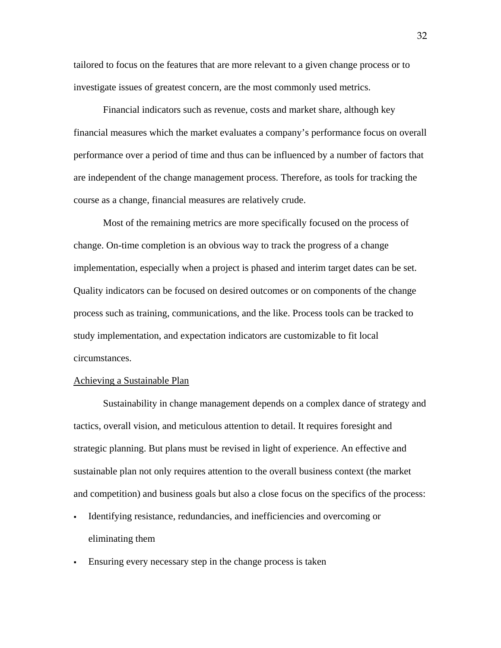tailored to focus on the features that are more relevant to a given change process or to investigate issues of greatest concern, are the most commonly used metrics.

 Financial indicators such as revenue, costs and market share, although key financial measures which the market evaluates a company's performance focus on overall performance over a period of time and thus can be influenced by a number of factors that are independent of the change management process. Therefore, as tools for tracking the course as a change, financial measures are relatively crude.

 Most of the remaining metrics are more specifically focused on the process of change. On-time completion is an obvious way to track the progress of a change implementation, especially when a project is phased and interim target dates can be set. Quality indicators can be focused on desired outcomes or on components of the change process such as training, communications, and the like. Process tools can be tracked to study implementation, and expectation indicators are customizable to fit local circumstances.

#### Achieving a Sustainable Plan

Sustainability in change management depends on a complex dance of strategy and tactics, overall vision, and meticulous attention to detail. It requires foresight and strategic planning. But plans must be revised in light of experience. An effective and sustainable plan not only requires attention to the overall business context (the market and competition) and business goals but also a close focus on the specifics of the process:

- Identifying resistance, redundancies, and inefficiencies and overcoming or eliminating them
- Ensuring every necessary step in the change process is taken

32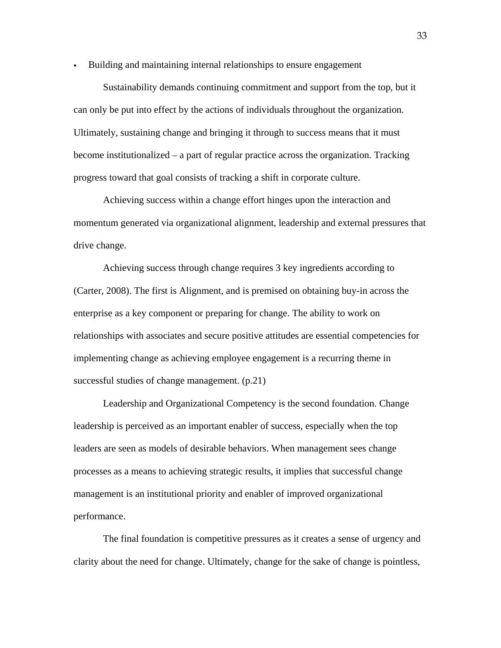Building and maintaining internal relationships to ensure engagement

 Sustainability demands continuing commitment and support from the top, but it can only be put into effect by the actions of individuals throughout the organization. Ultimately, sustaining change and bringing it through to success means that it must become institutionalized – a part of regular practice across the organization. Tracking progress toward that goal consists of tracking a shift in corporate culture.

 Achieving success within a change effort hinges upon the interaction and momentum generated via organizational alignment, leadership and external pressures that drive change.

 Achieving success through change requires 3 key ingredients according to (Carter, 2008). The first is Alignment, and is premised on obtaining buy-in across the enterprise as a key component or preparing for change. The ability to work on relationships with associates and secure positive attitudes are essential competencies for implementing change as achieving employee engagement is a recurring theme in successful studies of change management. (p.21)

Leadership and Organizational Competency is the second foundation. Change leadership is perceived as an important enabler of success, especially when the top leaders are seen as models of desirable behaviors. When management sees change processes as a means to achieving strategic results, it implies that successful change management is an institutional priority and enabler of improved organizational performance.

The final foundation is competitive pressures as it creates a sense of urgency and clarity about the need for change. Ultimately, change for the sake of change is pointless,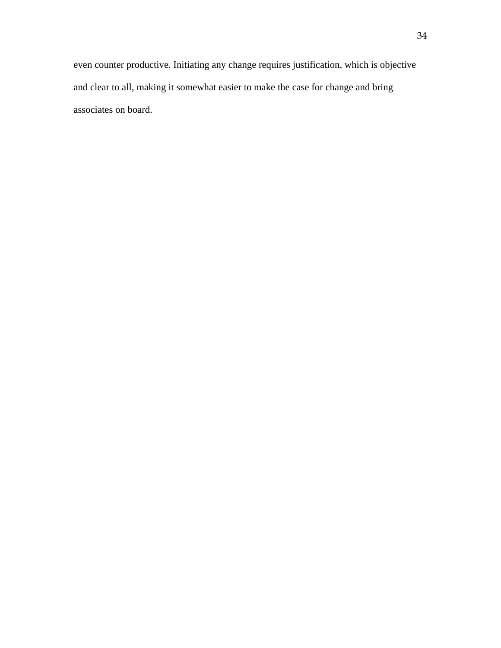even counter productive. Initiating any change requires justification, which is objective and clear to all, making it somewhat easier to make the case for change and bring associates on board.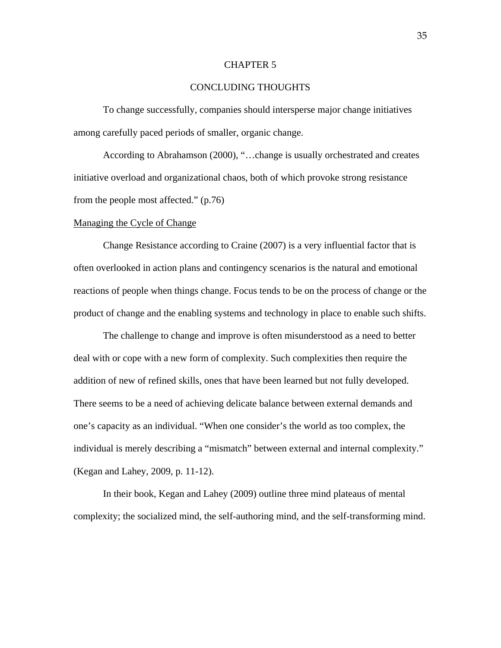# CHAPTER 5

# CONCLUDING THOUGHTS

 To change successfully, companies should intersperse major change initiatives among carefully paced periods of smaller, organic change.

 According to Abrahamson (2000), "…change is usually orchestrated and creates initiative overload and organizational chaos, both of which provoke strong resistance from the people most affected." (p.76)

#### Managing the Cycle of Change

 Change Resistance according to Craine (2007) is a very influential factor that is often overlooked in action plans and contingency scenarios is the natural and emotional reactions of people when things change. Focus tends to be on the process of change or the product of change and the enabling systems and technology in place to enable such shifts.

 The challenge to change and improve is often misunderstood as a need to better deal with or cope with a new form of complexity. Such complexities then require the addition of new of refined skills, ones that have been learned but not fully developed. There seems to be a need of achieving delicate balance between external demands and one's capacity as an individual. "When one consider's the world as too complex, the individual is merely describing a "mismatch" between external and internal complexity." (Kegan and Lahey, 2009, p. 11-12).

 In their book, Kegan and Lahey (2009) outline three mind plateaus of mental complexity; the socialized mind, the self-authoring mind, and the self-transforming mind.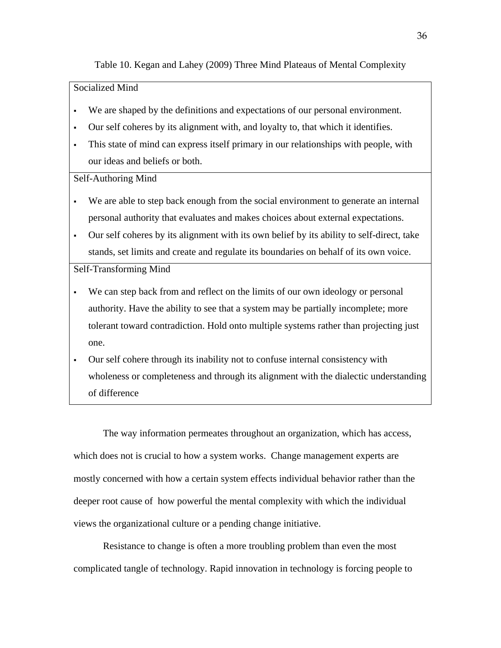# Table 10. Kegan and Lahey (2009) Three Mind Plateaus of Mental Complexity

# Socialized Mind

- We are shaped by the definitions and expectations of our personal environment.
- Our self coheres by its alignment with, and loyalty to, that which it identifies.
- This state of mind can express itself primary in our relationships with people, with our ideas and beliefs or both.

# Self-Authoring Mind

- We are able to step back enough from the social environment to generate an internal personal authority that evaluates and makes choices about external expectations.
- Our self coheres by its alignment with its own belief by its ability to self-direct, take stands, set limits and create and regulate its boundaries on behalf of its own voice.

# Self-Transforming Mind

- We can step back from and reflect on the limits of our own ideology or personal authority. Have the ability to see that a system may be partially incomplete; more tolerant toward contradiction. Hold onto multiple systems rather than projecting just one.
- Our self cohere through its inability not to confuse internal consistency with wholeness or completeness and through its alignment with the dialectic understanding of difference

 The way information permeates throughout an organization, which has access, which does not is crucial to how a system works. Change management experts are mostly concerned with how a certain system effects individual behavior rather than the deeper root cause of how powerful the mental complexity with which the individual views the organizational culture or a pending change initiative.

 Resistance to change is often a more troubling problem than even the most complicated tangle of technology. Rapid innovation in technology is forcing people to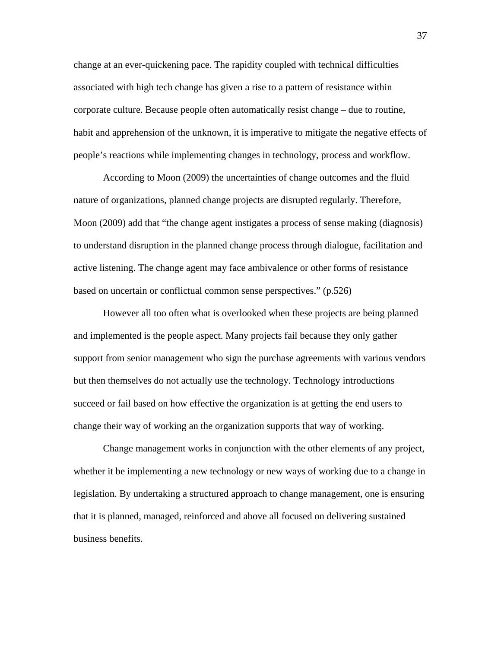change at an ever-quickening pace. The rapidity coupled with technical difficulties associated with high tech change has given a rise to a pattern of resistance within corporate culture. Because people often automatically resist change – due to routine, habit and apprehension of the unknown, it is imperative to mitigate the negative effects of people's reactions while implementing changes in technology, process and workflow.

 According to Moon (2009) the uncertainties of change outcomes and the fluid nature of organizations, planned change projects are disrupted regularly. Therefore, Moon (2009) add that "the change agent instigates a process of sense making (diagnosis) to understand disruption in the planned change process through dialogue, facilitation and active listening. The change agent may face ambivalence or other forms of resistance based on uncertain or conflictual common sense perspectives." (p.526)

 However all too often what is overlooked when these projects are being planned and implemented is the people aspect. Many projects fail because they only gather support from senior management who sign the purchase agreements with various vendors but then themselves do not actually use the technology. Technology introductions succeed or fail based on how effective the organization is at getting the end users to change their way of working an the organization supports that way of working.

 Change management works in conjunction with the other elements of any project, whether it be implementing a new technology or new ways of working due to a change in legislation. By undertaking a structured approach to change management, one is ensuring that it is planned, managed, reinforced and above all focused on delivering sustained business benefits.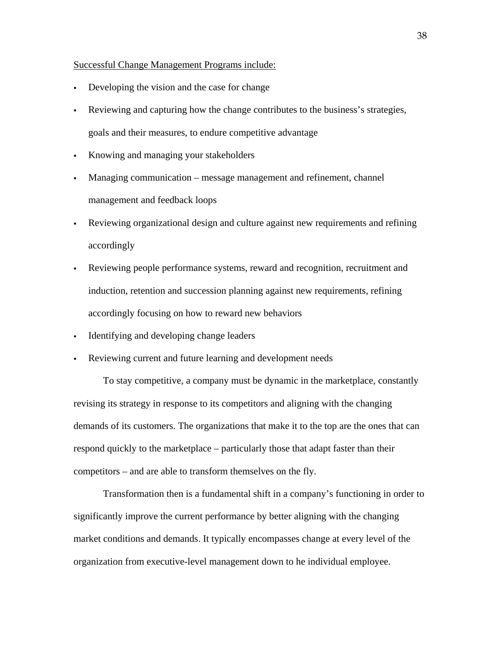#### Successful Change Management Programs include:

- Developing the vision and the case for change
- Reviewing and capturing how the change contributes to the business's strategies, goals and their measures, to endure competitive advantage
- Knowing and managing your stakeholders
- Managing communication message management and refinement, channel management and feedback loops
- Reviewing organizational design and culture against new requirements and refining accordingly
- Reviewing people performance systems, reward and recognition, recruitment and induction, retention and succession planning against new requirements, refining accordingly focusing on how to reward new behaviors
- Identifying and developing change leaders
- Reviewing current and future learning and development needs

 To stay competitive, a company must be dynamic in the marketplace, constantly revising its strategy in response to its competitors and aligning with the changing demands of its customers. The organizations that make it to the top are the ones that can respond quickly to the marketplace – particularly those that adapt faster than their competitors – and are able to transform themselves on the fly.

 Transformation then is a fundamental shift in a company's functioning in order to significantly improve the current performance by better aligning with the changing market conditions and demands. It typically encompasses change at every level of the organization from executive-level management down to he individual employee.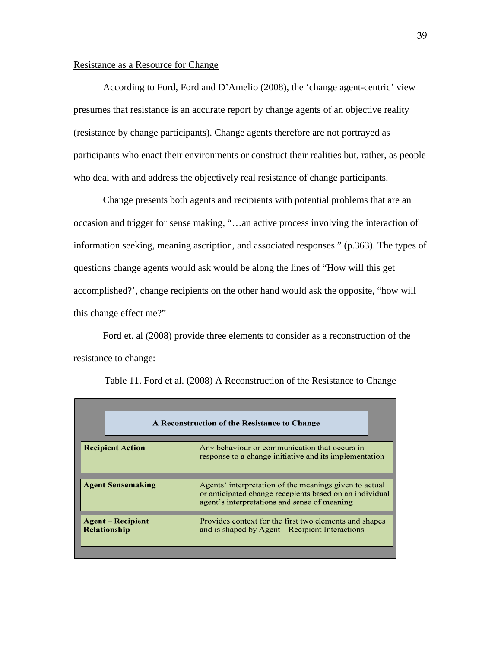# Resistance as a Resource for Change

 According to Ford, Ford and D'Amelio (2008), the 'change agent-centric' view presumes that resistance is an accurate report by change agents of an objective reality (resistance by change participants). Change agents therefore are not portrayed as participants who enact their environments or construct their realities but, rather, as people who deal with and address the objectively real resistance of change participants.

 Change presents both agents and recipients with potential problems that are an occasion and trigger for sense making, "…an active process involving the interaction of information seeking, meaning ascription, and associated responses." (p.363). The types of questions change agents would ask would be along the lines of "How will this get accomplished?', change recipients on the other hand would ask the opposite, "how will this change effect me?"

 Ford et. al (2008) provide three elements to consider as a reconstruction of the resistance to change:

|                                                                                                                                    | A Reconstruction of the Resistance to Change                                                                                                                      |  |
|------------------------------------------------------------------------------------------------------------------------------------|-------------------------------------------------------------------------------------------------------------------------------------------------------------------|--|
| <b>Recipient Action</b><br>Any behaviour or communication that occurs in<br>response to a change initiative and its implementation |                                                                                                                                                                   |  |
| <b>Agent Sensemaking</b>                                                                                                           | Agents' interpretation of the meanings given to actual<br>or anticipated change recepients based on an individual<br>agent's interpretations and sense of meaning |  |
| <b>Agent</b> – Recipient<br><b>Relationship</b>                                                                                    | Provides context for the first two elements and shapes<br>and is shaped by Agent – Recipient Interactions                                                         |  |

Table 11. Ford et al. (2008) A Reconstruction of the Resistance to Change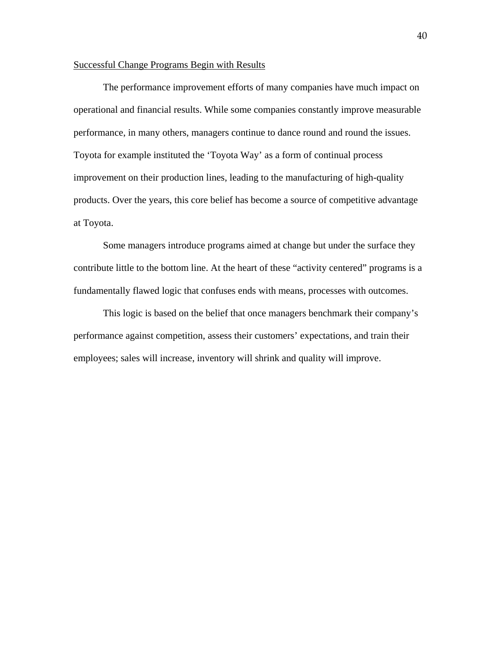# Successful Change Programs Begin with Results

 The performance improvement efforts of many companies have much impact on operational and financial results. While some companies constantly improve measurable performance, in many others, managers continue to dance round and round the issues. Toyota for example instituted the 'Toyota Way' as a form of continual process improvement on their production lines, leading to the manufacturing of high-quality products. Over the years, this core belief has become a source of competitive advantage at Toyota.

 Some managers introduce programs aimed at change but under the surface they contribute little to the bottom line. At the heart of these "activity centered" programs is a fundamentally flawed logic that confuses ends with means, processes with outcomes.

 This logic is based on the belief that once managers benchmark their company's performance against competition, assess their customers' expectations, and train their employees; sales will increase, inventory will shrink and quality will improve.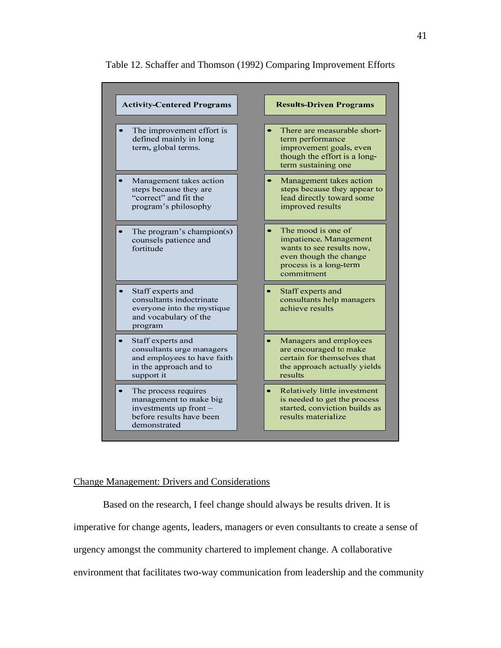

# Table 12. Schaffer and Thomson (1992) Comparing Improvement Efforts

### Change Management: Drivers and Considerations

 Based on the research, I feel change should always be results driven. It is imperative for change agents, leaders, managers or even consultants to create a sense of urgency amongst the community chartered to implement change. A collaborative environment that facilitates two-way communication from leadership and the community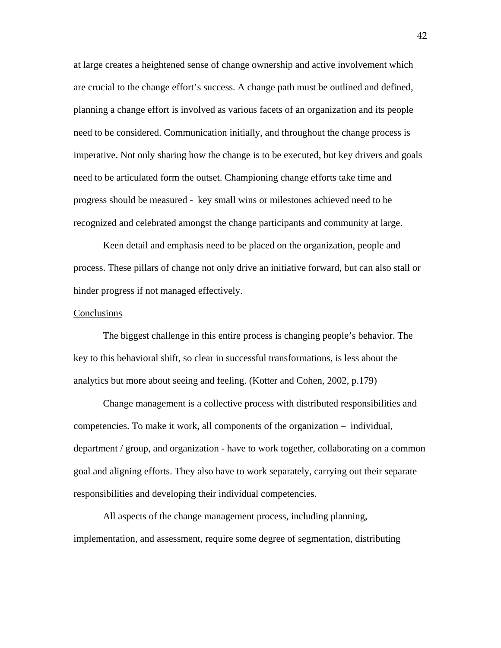at large creates a heightened sense of change ownership and active involvement which are crucial to the change effort's success. A change path must be outlined and defined, planning a change effort is involved as various facets of an organization and its people need to be considered. Communication initially, and throughout the change process is imperative. Not only sharing how the change is to be executed, but key drivers and goals need to be articulated form the outset. Championing change efforts take time and progress should be measured - key small wins or milestones achieved need to be recognized and celebrated amongst the change participants and community at large.

 Keen detail and emphasis need to be placed on the organization, people and process. These pillars of change not only drive an initiative forward, but can also stall or hinder progress if not managed effectively.

#### Conclusions

 The biggest challenge in this entire process is changing people's behavior. The key to this behavioral shift, so clear in successful transformations, is less about the analytics but more about seeing and feeling. (Kotter and Cohen, 2002, p.179)

 Change management is a collective process with distributed responsibilities and competencies. To make it work, all components of the organization – individual, department / group, and organization - have to work together, collaborating on a common goal and aligning efforts. They also have to work separately, carrying out their separate responsibilities and developing their individual competencies.

 All aspects of the change management process, including planning, implementation, and assessment, require some degree of segmentation, distributing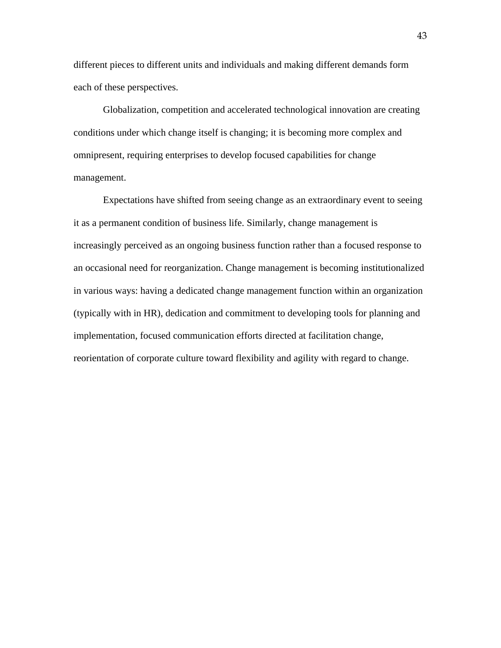different pieces to different units and individuals and making different demands form each of these perspectives.

 Globalization, competition and accelerated technological innovation are creating conditions under which change itself is changing; it is becoming more complex and omnipresent, requiring enterprises to develop focused capabilities for change management.

 Expectations have shifted from seeing change as an extraordinary event to seeing it as a permanent condition of business life. Similarly, change management is increasingly perceived as an ongoing business function rather than a focused response to an occasional need for reorganization. Change management is becoming institutionalized in various ways: having a dedicated change management function within an organization (typically with in HR), dedication and commitment to developing tools for planning and implementation, focused communication efforts directed at facilitation change, reorientation of corporate culture toward flexibility and agility with regard to change.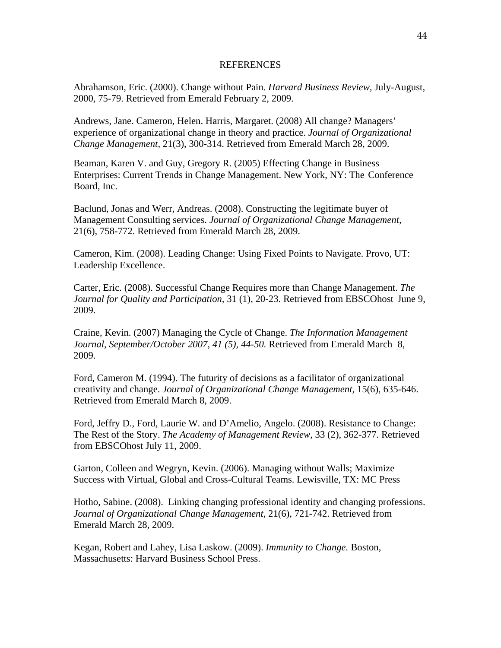#### REFERENCES

Abrahamson, Eric. (2000). Change without Pain. *Harvard Business Review,* July-August, 2000, 75-79. Retrieved from Emerald February 2, 2009.

Andrews, Jane. Cameron, Helen. Harris, Margaret. (2008) All change? Managers' experience of organizational change in theory and practice. *Journal of Organizational Change Management,* 21(3), 300-314. Retrieved from Emerald March 28, 2009.

Beaman, Karen V. and Guy, Gregory R. (2005) Effecting Change in Business Enterprises: Current Trends in Change Management. New York, NY: The Conference Board, Inc.

Baclund, Jonas and Werr, Andreas. (2008). Constructing the legitimate buyer of Management Consulting services. *Journal of Organizational Change Management,*  21(6), 758-772. Retrieved from Emerald March 28, 2009.

Cameron, Kim. (2008). Leading Change: Using Fixed Points to Navigate. Provo, UT: Leadership Excellence.

Carter, Eric. (2008). Successful Change Requires more than Change Management. *The Journal for Quality and Participation,* 31 (1), 20-23. Retrieved from EBSCOhost June 9, 2009.

Craine, Kevin. (2007) Managing the Cycle of Change. *The Information Management Journal, September/October 2007, 41 (5), 44-50.* Retrieved from Emerald March 8, 2009.

Ford, Cameron M. (1994). The futurity of decisions as a facilitator of organizational creativity and change. *Journal of Organizational Change Management,* 15(6), 635-646. Retrieved from Emerald March 8, 2009.

Ford, Jeffry D., Ford, Laurie W. and D'Amelio, Angelo. (2008). Resistance to Change: The Rest of the Story. *The Academy of Management Review,* 33 (2), 362-377. Retrieved from EBSCOhost July 11, 2009.

Garton, Colleen and Wegryn, Kevin. (2006). Managing without Walls; Maximize Success with Virtual, Global and Cross-Cultural Teams. Lewisville, TX: MC Press

Hotho, Sabine. (2008). Linking changing professional identity and changing professions. *Journal of Organizational Change Management,* 21(6), 721-742. Retrieved from Emerald March 28, 2009.

Kegan, Robert and Lahey, Lisa Laskow. (2009). *Immunity to Change.* Boston, Massachusetts: Harvard Business School Press.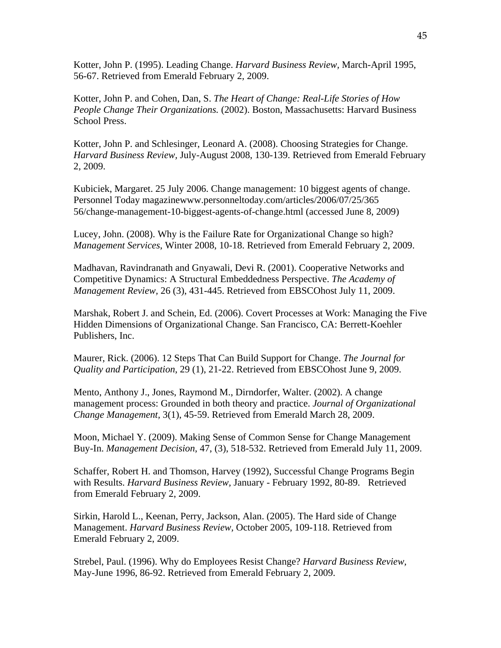Kotter, John P. (1995). Leading Change. *Harvard Business Review,* March-April 1995, 56-67. Retrieved from Emerald February 2, 2009.

Kotter, John P. and Cohen, Dan, S. *The Heart of Change: Real-Life Stories of How People Change Their Organizations.* (2002). Boston, Massachusetts: Harvard Business School Press.

Kotter, John P. and Schlesinger, Leonard A. (2008). Choosing Strategies for Change. *Harvard Business Review,* July-August 2008, 130-139. Retrieved from Emerald February 2, 2009.

Kubiciek, Margaret. 25 July 2006. Change management: 10 biggest agents of change. Personnel Today magazinewww.personneltoday.com/articles/2006/07/25/365 56/change-management-10-biggest-agents-of-change.html (accessed June 8, 2009)

Lucey, John. (2008). Why is the Failure Rate for Organizational Change so high? *Management Services*, Winter 2008, 10-18. Retrieved from Emerald February 2, 2009.

Madhavan, Ravindranath and Gnyawali, Devi R. (2001). Cooperative Networks and Competitive Dynamics: A Structural Embeddedness Perspective. *The Academy of Management Review,* 26 (3), 431-445. Retrieved from EBSCOhost July 11, 2009.

Marshak, Robert J. and Schein, Ed. (2006). Covert Processes at Work: Managing the Five Hidden Dimensions of Organizational Change. San Francisco, CA: Berrett-Koehler Publishers, Inc.

Maurer, Rick. (2006). 12 Steps That Can Build Support for Change. *The Journal for Quality and Participation*, 29 (1), 21-22. Retrieved from EBSCOhost June 9, 2009.

Mento, Anthony J., Jones, Raymond M., Dirndorfer, Walter. (2002). A change management process: Grounded in both theory and practice. *Journal of Organizational Change Management,* 3(1), 45-59. Retrieved from Emerald March 28, 2009.

Moon, Michael Y. (2009). Making Sense of Common Sense for Change Management Buy-In. *Management Decision*, 47, (3), 518-532. Retrieved from Emerald July 11, 2009.

Schaffer, Robert H. and Thomson, Harvey (1992), Successful Change Programs Begin with Results. *Harvard Business Review,* January - February 1992, 80-89. Retrieved from Emerald February 2, 2009.

Sirkin, Harold L., Keenan, Perry, Jackson, Alan. (2005). The Hard side of Change Management. *Harvard Business Review,* October 2005, 109-118. Retrieved from Emerald February 2, 2009.

Strebel, Paul. (1996). Why do Employees Resist Change? *Harvard Business Review,*  May-June 1996, 86-92. Retrieved from Emerald February 2, 2009.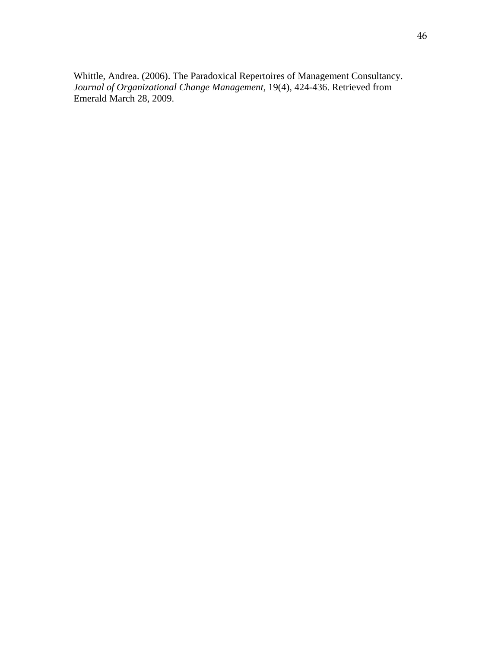Whittle, Andrea. (2006). The Paradoxical Repertoires of Management Consultancy. *Journal of Organizational Change Management,* 19(4), 424-436. Retrieved from Emerald March 28, 2009.